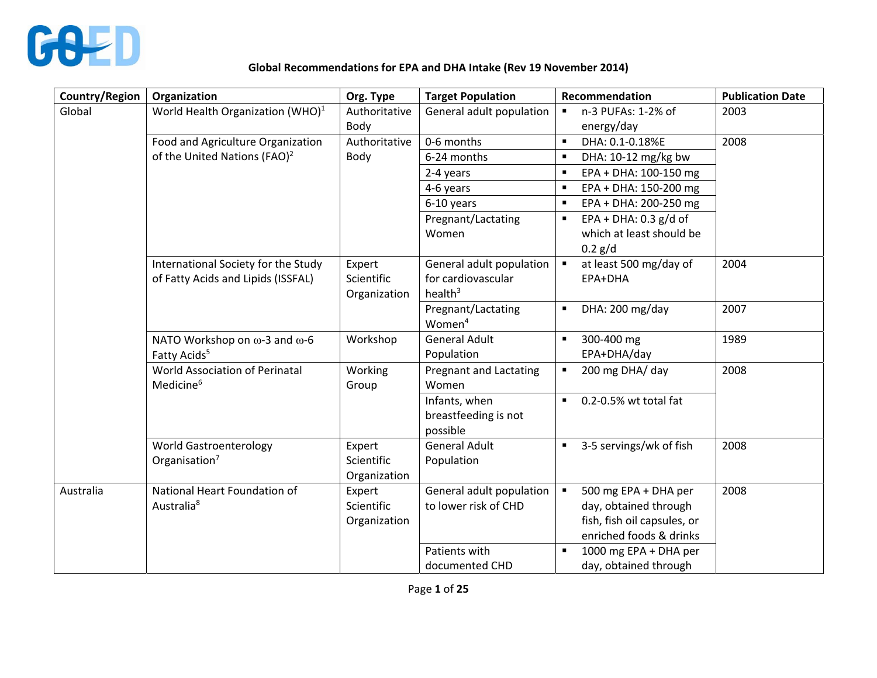

## **Global Recommendations for EPA and DHA Intake (Rev 19 November 2014)**

| <b>Country/Region</b> | Organization                                                                                                                                                                                                                                                                      | Org. Type                                                                                                                                  | <b>Target Population</b>                                                                                                                                                                                                                                                                                                                       | Recommendation                                                                                                                                                                                                                                                                                                                                                                             | <b>Publication Date</b>              |
|-----------------------|-----------------------------------------------------------------------------------------------------------------------------------------------------------------------------------------------------------------------------------------------------------------------------------|--------------------------------------------------------------------------------------------------------------------------------------------|------------------------------------------------------------------------------------------------------------------------------------------------------------------------------------------------------------------------------------------------------------------------------------------------------------------------------------------------|--------------------------------------------------------------------------------------------------------------------------------------------------------------------------------------------------------------------------------------------------------------------------------------------------------------------------------------------------------------------------------------------|--------------------------------------|
| Global                | World Health Organization (WHO) <sup>1</sup>                                                                                                                                                                                                                                      | Authoritative                                                                                                                              | General adult population                                                                                                                                                                                                                                                                                                                       | n-3 PUFAs: 1-2% of<br>$\blacksquare$                                                                                                                                                                                                                                                                                                                                                       | 2003                                 |
|                       |                                                                                                                                                                                                                                                                                   | Body                                                                                                                                       |                                                                                                                                                                                                                                                                                                                                                | energy/day                                                                                                                                                                                                                                                                                                                                                                                 |                                      |
|                       | Food and Agriculture Organization                                                                                                                                                                                                                                                 | Authoritative                                                                                                                              | 0-6 months                                                                                                                                                                                                                                                                                                                                     | DHA: 0.1-0.18%E<br>$\blacksquare$                                                                                                                                                                                                                                                                                                                                                          | 2008                                 |
|                       | of the United Nations (FAO) <sup>2</sup>                                                                                                                                                                                                                                          | Body                                                                                                                                       | 6-24 months                                                                                                                                                                                                                                                                                                                                    | $\blacksquare$<br>DHA: 10-12 mg/kg bw                                                                                                                                                                                                                                                                                                                                                      |                                      |
|                       |                                                                                                                                                                                                                                                                                   |                                                                                                                                            | 2-4 years                                                                                                                                                                                                                                                                                                                                      | EPA + DHA: 100-150 mg<br>$\blacksquare$                                                                                                                                                                                                                                                                                                                                                    |                                      |
|                       |                                                                                                                                                                                                                                                                                   |                                                                                                                                            | 4-6 years                                                                                                                                                                                                                                                                                                                                      | EPA + DHA: 150-200 mg<br>п                                                                                                                                                                                                                                                                                                                                                                 |                                      |
|                       |                                                                                                                                                                                                                                                                                   |                                                                                                                                            | 6-10 years                                                                                                                                                                                                                                                                                                                                     | EPA + DHA: 200-250 mg<br>п                                                                                                                                                                                                                                                                                                                                                                 |                                      |
|                       |                                                                                                                                                                                                                                                                                   |                                                                                                                                            | Pregnant/Lactating                                                                                                                                                                                                                                                                                                                             | EPA + DHA: $0.3$ g/d of<br>٠                                                                                                                                                                                                                                                                                                                                                               |                                      |
|                       |                                                                                                                                                                                                                                                                                   |                                                                                                                                            | Women                                                                                                                                                                                                                                                                                                                                          | which at least should be                                                                                                                                                                                                                                                                                                                                                                   |                                      |
|                       |                                                                                                                                                                                                                                                                                   |                                                                                                                                            |                                                                                                                                                                                                                                                                                                                                                | $0.2$ g/d                                                                                                                                                                                                                                                                                                                                                                                  |                                      |
|                       | International Society for the Study                                                                                                                                                                                                                                               | Expert                                                                                                                                     | General adult population                                                                                                                                                                                                                                                                                                                       | at least 500 mg/day of<br>$\blacksquare$                                                                                                                                                                                                                                                                                                                                                   | 2004                                 |
|                       |                                                                                                                                                                                                                                                                                   |                                                                                                                                            |                                                                                                                                                                                                                                                                                                                                                |                                                                                                                                                                                                                                                                                                                                                                                            |                                      |
|                       |                                                                                                                                                                                                                                                                                   |                                                                                                                                            |                                                                                                                                                                                                                                                                                                                                                |                                                                                                                                                                                                                                                                                                                                                                                            |                                      |
|                       |                                                                                                                                                                                                                                                                                   |                                                                                                                                            |                                                                                                                                                                                                                                                                                                                                                | $\blacksquare$                                                                                                                                                                                                                                                                                                                                                                             |                                      |
|                       |                                                                                                                                                                                                                                                                                   |                                                                                                                                            |                                                                                                                                                                                                                                                                                                                                                |                                                                                                                                                                                                                                                                                                                                                                                            |                                      |
|                       |                                                                                                                                                                                                                                                                                   |                                                                                                                                            |                                                                                                                                                                                                                                                                                                                                                |                                                                                                                                                                                                                                                                                                                                                                                            |                                      |
|                       |                                                                                                                                                                                                                                                                                   |                                                                                                                                            |                                                                                                                                                                                                                                                                                                                                                |                                                                                                                                                                                                                                                                                                                                                                                            |                                      |
|                       |                                                                                                                                                                                                                                                                                   |                                                                                                                                            |                                                                                                                                                                                                                                                                                                                                                |                                                                                                                                                                                                                                                                                                                                                                                            |                                      |
|                       |                                                                                                                                                                                                                                                                                   |                                                                                                                                            |                                                                                                                                                                                                                                                                                                                                                |                                                                                                                                                                                                                                                                                                                                                                                            |                                      |
|                       |                                                                                                                                                                                                                                                                                   |                                                                                                                                            |                                                                                                                                                                                                                                                                                                                                                |                                                                                                                                                                                                                                                                                                                                                                                            |                                      |
|                       |                                                                                                                                                                                                                                                                                   |                                                                                                                                            |                                                                                                                                                                                                                                                                                                                                                |                                                                                                                                                                                                                                                                                                                                                                                            |                                      |
|                       |                                                                                                                                                                                                                                                                                   |                                                                                                                                            |                                                                                                                                                                                                                                                                                                                                                |                                                                                                                                                                                                                                                                                                                                                                                            |                                      |
|                       |                                                                                                                                                                                                                                                                                   |                                                                                                                                            |                                                                                                                                                                                                                                                                                                                                                |                                                                                                                                                                                                                                                                                                                                                                                            |                                      |
|                       |                                                                                                                                                                                                                                                                                   |                                                                                                                                            |                                                                                                                                                                                                                                                                                                                                                |                                                                                                                                                                                                                                                                                                                                                                                            |                                      |
|                       |                                                                                                                                                                                                                                                                                   |                                                                                                                                            |                                                                                                                                                                                                                                                                                                                                                |                                                                                                                                                                                                                                                                                                                                                                                            |                                      |
|                       |                                                                                                                                                                                                                                                                                   |                                                                                                                                            |                                                                                                                                                                                                                                                                                                                                                |                                                                                                                                                                                                                                                                                                                                                                                            |                                      |
|                       |                                                                                                                                                                                                                                                                                   |                                                                                                                                            |                                                                                                                                                                                                                                                                                                                                                |                                                                                                                                                                                                                                                                                                                                                                                            |                                      |
|                       |                                                                                                                                                                                                                                                                                   |                                                                                                                                            |                                                                                                                                                                                                                                                                                                                                                |                                                                                                                                                                                                                                                                                                                                                                                            |                                      |
|                       |                                                                                                                                                                                                                                                                                   |                                                                                                                                            |                                                                                                                                                                                                                                                                                                                                                |                                                                                                                                                                                                                                                                                                                                                                                            |                                      |
|                       |                                                                                                                                                                                                                                                                                   |                                                                                                                                            |                                                                                                                                                                                                                                                                                                                                                |                                                                                                                                                                                                                                                                                                                                                                                            |                                      |
| Australia             | of Fatty Acids and Lipids (ISSFAL)<br>NATO Workshop on ω-3 and ω-6<br>Fatty Acids <sup>5</sup><br>World Association of Perinatal<br>Medicine <sup>6</sup><br><b>World Gastroenterology</b><br>Organisation <sup>7</sup><br>National Heart Foundation of<br>Australia <sup>8</sup> | Scientific<br>Organization<br>Workshop<br>Working<br>Group<br>Expert<br>Scientific<br>Organization<br>Expert<br>Scientific<br>Organization | for cardiovascular<br>health $3$<br>Pregnant/Lactating<br>Women <sup>4</sup><br><b>General Adult</b><br>Population<br><b>Pregnant and Lactating</b><br>Women<br>Infants, when<br>breastfeeding is not<br>possible<br><b>General Adult</b><br>Population<br>General adult population<br>to lower risk of CHD<br>Patients with<br>documented CHD | EPA+DHA<br>DHA: 200 mg/day<br>300-400 mg<br>$\blacksquare$<br>EPA+DHA/day<br>200 mg DHA/ day<br>$\blacksquare$<br>0.2-0.5% wt total fat<br>$\blacksquare$<br>3-5 servings/wk of fish<br>$\blacksquare$<br>500 mg EPA + DHA per<br>$\blacksquare$<br>day, obtained through<br>fish, fish oil capsules, or<br>enriched foods & drinks<br>1000 mg EPA + DHA per<br>П<br>day, obtained through | 2007<br>1989<br>2008<br>2008<br>2008 |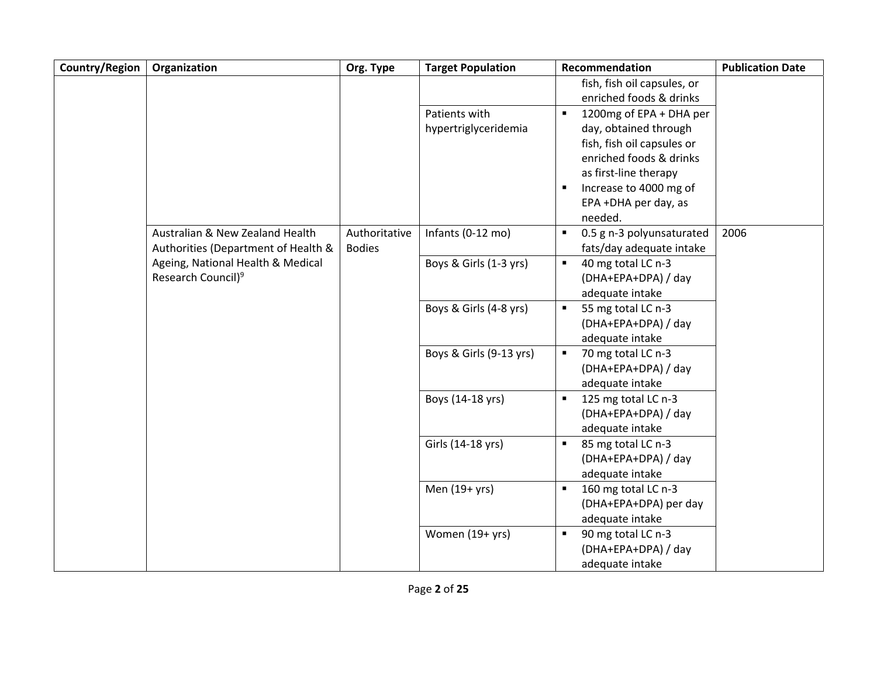| Country/Region | Organization                        | Org. Type     | <b>Target Population</b> | Recommendation                                         | <b>Publication Date</b> |
|----------------|-------------------------------------|---------------|--------------------------|--------------------------------------------------------|-------------------------|
|                |                                     |               |                          | fish, fish oil capsules, or<br>enriched foods & drinks |                         |
|                |                                     |               | Patients with            | 1200mg of EPA + DHA per<br>$\blacksquare$              |                         |
|                |                                     |               | hypertriglyceridemia     | day, obtained through                                  |                         |
|                |                                     |               |                          | fish, fish oil capsules or                             |                         |
|                |                                     |               |                          | enriched foods & drinks                                |                         |
|                |                                     |               |                          | as first-line therapy                                  |                         |
|                |                                     |               |                          | Increase to 4000 mg of                                 |                         |
|                |                                     |               |                          | EPA +DHA per day, as                                   |                         |
|                |                                     |               |                          | needed.                                                |                         |
|                | Australian & New Zealand Health     | Authoritative | Infants (0-12 mo)        | 0.5 g n-3 polyunsaturated<br>$\blacksquare$            | 2006                    |
|                | Authorities (Department of Health & | <b>Bodies</b> |                          | fats/day adequate intake                               |                         |
|                | Ageing, National Health & Medical   |               | Boys & Girls (1-3 yrs)   | $\blacksquare$<br>40 mg total LC n-3                   |                         |
|                | Research Council) <sup>9</sup>      |               |                          | (DHA+EPA+DPA) / day                                    |                         |
|                |                                     |               |                          | adequate intake                                        |                         |
|                |                                     |               | Boys & Girls (4-8 yrs)   | 55 mg total LC n-3<br>$\blacksquare$                   |                         |
|                |                                     |               |                          | (DHA+EPA+DPA) / day                                    |                         |
|                |                                     |               |                          | adequate intake                                        |                         |
|                |                                     |               | Boys & Girls (9-13 yrs)  | 70 mg total LC n-3                                     |                         |
|                |                                     |               |                          | (DHA+EPA+DPA) / day                                    |                         |
|                |                                     |               |                          | adequate intake                                        |                         |
|                |                                     |               | Boys (14-18 yrs)         | 125 mg total LC n-3<br>$\blacksquare$                  |                         |
|                |                                     |               |                          | (DHA+EPA+DPA) / day                                    |                         |
|                |                                     |               |                          | adequate intake                                        |                         |
|                |                                     |               | Girls (14-18 yrs)        | 85 mg total LC n-3<br>٠                                |                         |
|                |                                     |               |                          | (DHA+EPA+DPA) / day                                    |                         |
|                |                                     |               |                          | adequate intake                                        |                         |
|                |                                     |               | Men (19+ yrs)            | 160 mg total LC n-3<br>$\blacksquare$                  |                         |
|                |                                     |               |                          | (DHA+EPA+DPA) per day                                  |                         |
|                |                                     |               |                          | adequate intake                                        |                         |
|                |                                     |               | Women (19+ yrs)          | 90 mg total LC n-3<br>$\blacksquare$                   |                         |
|                |                                     |               |                          | (DHA+EPA+DPA) / day                                    |                         |
|                |                                     |               |                          | adequate intake                                        |                         |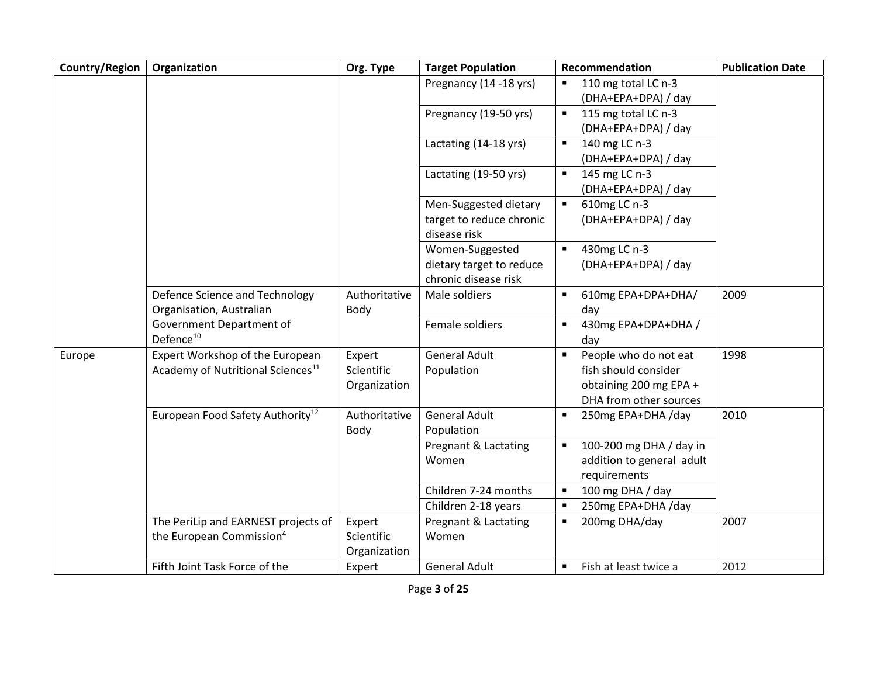| Country/Region | Organization                                                                     | Org. Type                            | <b>Target Population</b>                                            | Recommendation                                                                                    | <b>Publication Date</b> |
|----------------|----------------------------------------------------------------------------------|--------------------------------------|---------------------------------------------------------------------|---------------------------------------------------------------------------------------------------|-------------------------|
|                |                                                                                  |                                      | Pregnancy (14 -18 yrs)                                              | 110 mg total LC n-3<br>$\blacksquare$<br>(DHA+EPA+DPA) / day                                      |                         |
|                |                                                                                  |                                      | Pregnancy (19-50 yrs)                                               | 115 mg total LC n-3<br>(DHA+EPA+DPA) / day                                                        |                         |
|                |                                                                                  |                                      | Lactating (14-18 yrs)                                               | 140 mg LC n-3<br>$\blacksquare$<br>(DHA+EPA+DPA) / day                                            |                         |
|                |                                                                                  |                                      | Lactating (19-50 yrs)                                               | 145 mg LC n-3<br>$\blacksquare$<br>(DHA+EPA+DPA) / day                                            |                         |
|                |                                                                                  |                                      | Men-Suggested dietary<br>target to reduce chronic<br>disease risk   | 610mg LC n-3<br>(DHA+EPA+DPA) / day                                                               |                         |
|                |                                                                                  |                                      | Women-Suggested<br>dietary target to reduce<br>chronic disease risk | 430mg LC n-3<br>$\blacksquare$<br>(DHA+EPA+DPA) / day                                             |                         |
|                | Defence Science and Technology<br>Organisation, Australian                       | Authoritative<br>Body                | Male soldiers                                                       | 610mg EPA+DPA+DHA/<br>day                                                                         | 2009                    |
|                | Government Department of<br>Defence <sup>10</sup>                                |                                      | Female soldiers                                                     | 430mg EPA+DPA+DHA /<br>$\blacksquare$<br>day                                                      |                         |
| Europe         | Expert Workshop of the European<br>Academy of Nutritional Sciences <sup>11</sup> | Expert<br>Scientific<br>Organization | <b>General Adult</b><br>Population                                  | People who do not eat<br>fish should consider<br>obtaining 200 mg EPA +<br>DHA from other sources | 1998                    |
|                | European Food Safety Authority <sup>12</sup>                                     | Authoritative<br>Body                | <b>General Adult</b><br>Population                                  | 250mg EPA+DHA /day<br>$\blacksquare$                                                              | 2010                    |
|                |                                                                                  |                                      | Pregnant & Lactating<br>Women                                       | 100-200 mg DHA / day in<br>$\blacksquare$<br>addition to general adult<br>requirements            |                         |
|                |                                                                                  |                                      | Children 7-24 months<br>Children 2-18 years                         | 100 mg DHA / day<br>250mg EPA+DHA /day                                                            |                         |
|                | The PeriLip and EARNEST projects of<br>the European Commission <sup>4</sup>      | Expert<br>Scientific<br>Organization | Pregnant & Lactating<br>Women                                       | 200mg DHA/day<br>$\blacksquare$                                                                   | 2007                    |
|                | Fifth Joint Task Force of the                                                    | Expert                               | <b>General Adult</b>                                                | Fish at least twice a<br>$\blacksquare$                                                           | 2012                    |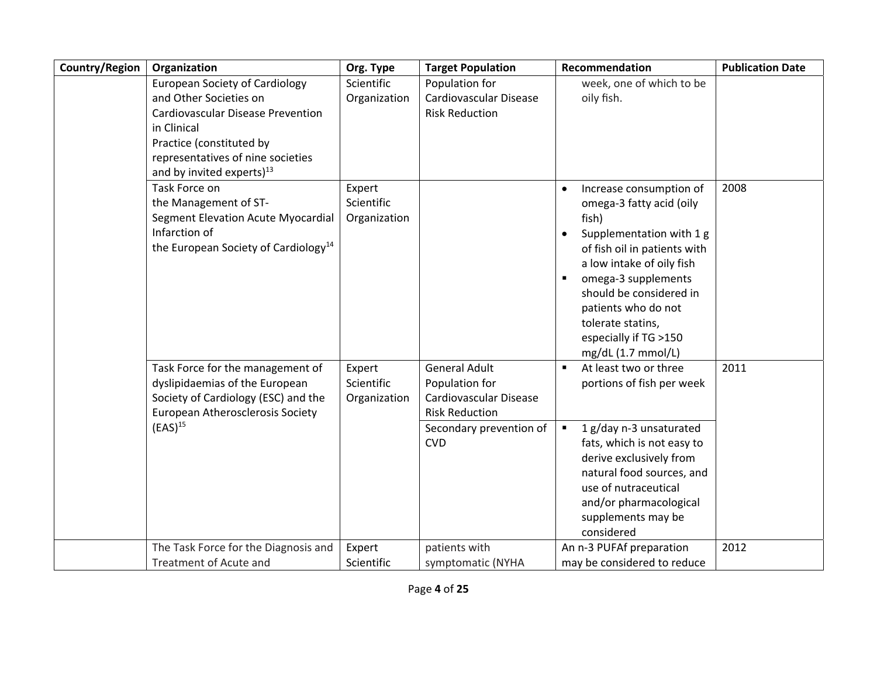| Country/Region | Organization                                                                                                                                                                                                                   | Org. Type                            | <b>Target Population</b>                                                                                                           | Recommendation                                                                                                                                                                                                                                                                                          | <b>Publication Date</b> |
|----------------|--------------------------------------------------------------------------------------------------------------------------------------------------------------------------------------------------------------------------------|--------------------------------------|------------------------------------------------------------------------------------------------------------------------------------|---------------------------------------------------------------------------------------------------------------------------------------------------------------------------------------------------------------------------------------------------------------------------------------------------------|-------------------------|
|                | <b>European Society of Cardiology</b><br>and Other Societies on<br><b>Cardiovascular Disease Prevention</b><br>in Clinical<br>Practice (constituted by<br>representatives of nine societies<br>and by invited experts) $^{13}$ | Scientific<br>Organization           | Population for<br>Cardiovascular Disease<br><b>Risk Reduction</b>                                                                  | week, one of which to be<br>oily fish.                                                                                                                                                                                                                                                                  |                         |
|                | Task Force on<br>the Management of ST-<br>Segment Elevation Acute Myocardial<br>Infarction of<br>the European Society of Cardiology <sup>14</sup>                                                                              | Expert<br>Scientific<br>Organization |                                                                                                                                    | Increase consumption of<br>omega-3 fatty acid (oily<br>fish)<br>Supplementation with 1 g<br>of fish oil in patients with<br>a low intake of oily fish<br>omega-3 supplements<br>٠<br>should be considered in<br>patients who do not<br>tolerate statins,<br>especially if TG >150<br>mg/dL (1.7 mmol/L) | 2008                    |
|                | Task Force for the management of<br>dyslipidaemias of the European<br>Society of Cardiology (ESC) and the<br>European Atherosclerosis Society<br>$(EAS)^{15}$                                                                  | Expert<br>Scientific<br>Organization | <b>General Adult</b><br>Population for<br>Cardiovascular Disease<br><b>Risk Reduction</b><br>Secondary prevention of<br><b>CVD</b> | At least two or three<br>$\blacksquare$<br>portions of fish per week<br>1 g/day n-3 unsaturated<br>$\blacksquare$<br>fats, which is not easy to<br>derive exclusively from<br>natural food sources, and<br>use of nutraceutical<br>and/or pharmacological                                               | 2011                    |
|                | The Task Force for the Diagnosis and<br>Treatment of Acute and                                                                                                                                                                 | Expert<br>Scientific                 | patients with<br>symptomatic (NYHA                                                                                                 | supplements may be<br>considered<br>An n-3 PUFAf preparation<br>may be considered to reduce                                                                                                                                                                                                             | 2012                    |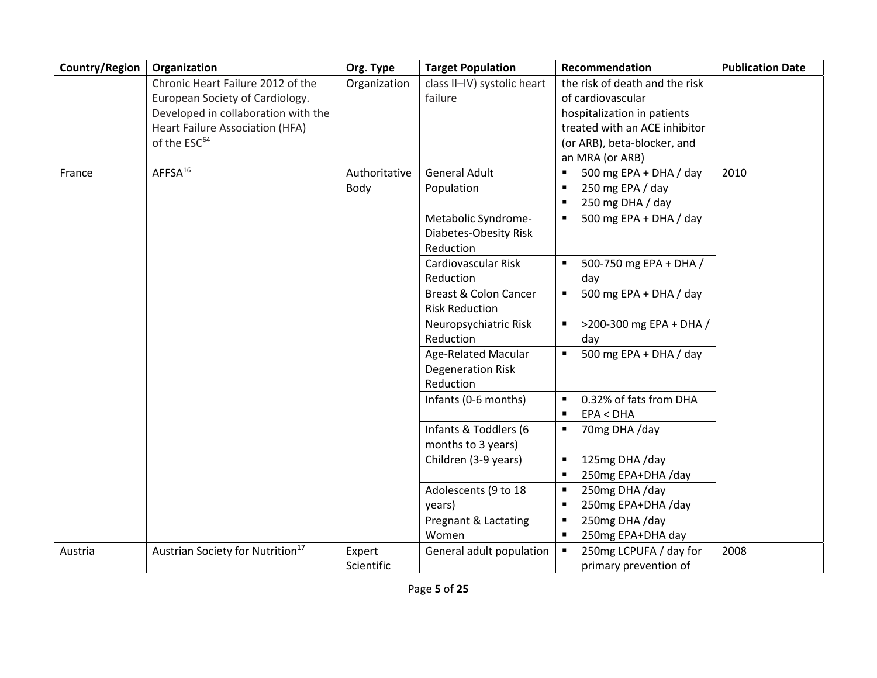| Country/Region | Organization                                 | Org. Type     | <b>Target Population</b>         | Recommendation                            | <b>Publication Date</b> |
|----------------|----------------------------------------------|---------------|----------------------------------|-------------------------------------------|-------------------------|
|                | Chronic Heart Failure 2012 of the            | Organization  | class II-IV) systolic heart      | the risk of death and the risk            |                         |
|                | European Society of Cardiology.              |               | failure                          | of cardiovascular                         |                         |
|                | Developed in collaboration with the          |               |                                  | hospitalization in patients               |                         |
|                | Heart Failure Association (HFA)              |               |                                  | treated with an ACE inhibitor             |                         |
|                | of the ESC <sup>64</sup>                     |               |                                  | (or ARB), beta-blocker, and               |                         |
|                |                                              |               |                                  | an MRA (or ARB)                           |                         |
| France         | AFFSA <sup>16</sup>                          | Authoritative | <b>General Adult</b>             | 500 mg EPA + DHA / day<br>$\blacksquare$  | 2010                    |
|                |                                              | Body          | Population                       | 250 mg EPA / day<br>$\blacksquare$        |                         |
|                |                                              |               |                                  | 250 mg DHA / day<br>$\blacksquare$        |                         |
|                |                                              |               | Metabolic Syndrome-              | 500 mg EPA + DHA / day                    |                         |
|                |                                              |               | Diabetes-Obesity Risk            |                                           |                         |
|                |                                              |               | Reduction                        |                                           |                         |
|                |                                              |               | Cardiovascular Risk              | 500-750 mg EPA + DHA /<br>$\blacksquare$  |                         |
|                |                                              |               | Reduction                        | day                                       |                         |
|                |                                              |               | <b>Breast &amp; Colon Cancer</b> | 500 mg EPA + DHA / day<br>$\blacksquare$  |                         |
|                |                                              |               | <b>Risk Reduction</b>            |                                           |                         |
|                |                                              |               | Neuropsychiatric Risk            | >200-300 mg EPA + DHA /<br>$\blacksquare$ |                         |
|                |                                              |               | Reduction                        | day                                       |                         |
|                |                                              |               | Age-Related Macular              | 500 mg EPA + DHA / day<br>$\blacksquare$  |                         |
|                |                                              |               | <b>Degeneration Risk</b>         |                                           |                         |
|                |                                              |               | Reduction                        |                                           |                         |
|                |                                              |               | Infants (0-6 months)             | 0.32% of fats from DHA<br>$\blacksquare$  |                         |
|                |                                              |               |                                  | EPA < DHA<br>$\blacksquare$               |                         |
|                |                                              |               | Infants & Toddlers (6            | 70mg DHA /day<br>$\blacksquare$           |                         |
|                |                                              |               | months to 3 years)               |                                           |                         |
|                |                                              |               | Children (3-9 years)             | 125mg DHA /day<br>$\blacksquare$          |                         |
|                |                                              |               |                                  | 250mg EPA+DHA /day<br>$\blacksquare$      |                         |
|                |                                              |               | Adolescents (9 to 18             | 250mg DHA /day<br>$\blacksquare$          |                         |
|                |                                              |               | years)                           | 250mg EPA+DHA /day<br>$\blacksquare$      |                         |
|                |                                              |               | Pregnant & Lactating             | 250mg DHA /day<br>$\blacksquare$          |                         |
|                |                                              |               | Women                            | 250mg EPA+DHA day<br>$\blacksquare$       |                         |
| Austria        | Austrian Society for Nutrition <sup>17</sup> | Expert        | General adult population         | 250mg LCPUFA / day for<br>$\blacksquare$  | 2008                    |
|                |                                              | Scientific    |                                  | primary prevention of                     |                         |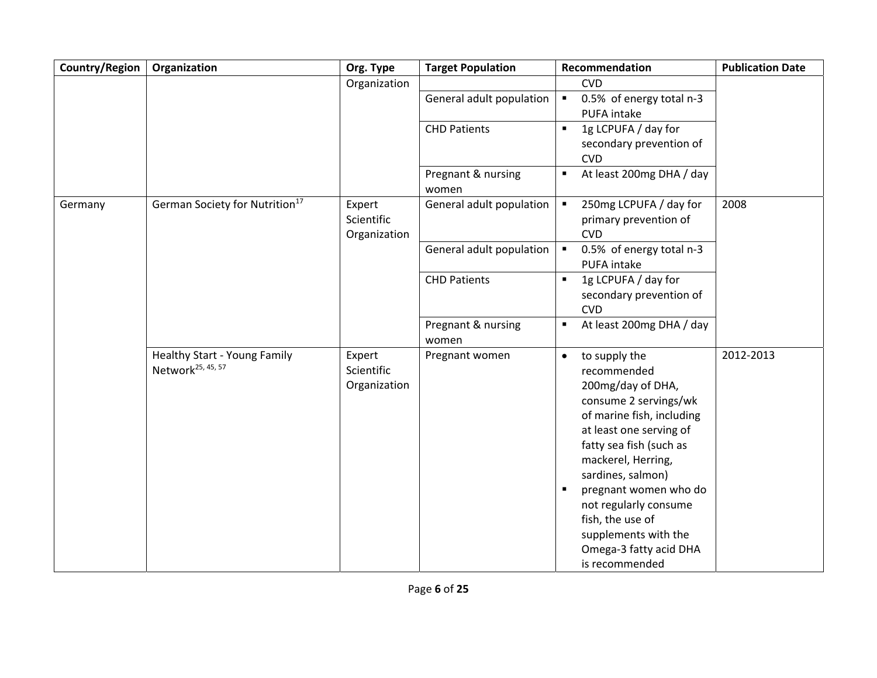| Country/Region | Organization                                                  | Org. Type                            | <b>Target Population</b>    | Recommendation                                                                                                                                                                                                                                                                                                                                                  | <b>Publication Date</b> |
|----------------|---------------------------------------------------------------|--------------------------------------|-----------------------------|-----------------------------------------------------------------------------------------------------------------------------------------------------------------------------------------------------------------------------------------------------------------------------------------------------------------------------------------------------------------|-------------------------|
|                |                                                               | Organization                         |                             | <b>CVD</b>                                                                                                                                                                                                                                                                                                                                                      |                         |
|                |                                                               |                                      | General adult population    | 0.5% of energy total n-3<br>$\blacksquare$<br>PUFA intake                                                                                                                                                                                                                                                                                                       |                         |
|                |                                                               |                                      | <b>CHD Patients</b>         | 1g LCPUFA / day for<br>$\blacksquare$<br>secondary prevention of<br><b>CVD</b>                                                                                                                                                                                                                                                                                  |                         |
|                |                                                               |                                      | Pregnant & nursing<br>women | At least 200mg DHA / day<br>$\blacksquare$                                                                                                                                                                                                                                                                                                                      |                         |
| Germany        | German Society for Nutrition <sup>17</sup>                    | Expert<br>Scientific<br>Organization | General adult population    | 250mg LCPUFA / day for<br>$\blacksquare$<br>primary prevention of<br><b>CVD</b>                                                                                                                                                                                                                                                                                 | 2008                    |
|                |                                                               |                                      | General adult population    | 0.5% of energy total n-3<br>$\blacksquare$<br>PUFA intake                                                                                                                                                                                                                                                                                                       |                         |
|                |                                                               |                                      | <b>CHD Patients</b>         | 1g LCPUFA / day for<br>$\blacksquare$<br>secondary prevention of<br><b>CVD</b>                                                                                                                                                                                                                                                                                  |                         |
|                |                                                               |                                      | Pregnant & nursing<br>women | At least 200mg DHA / day<br>п                                                                                                                                                                                                                                                                                                                                   |                         |
|                | Healthy Start - Young Family<br>Network <sup>25, 45, 57</sup> | Expert<br>Scientific<br>Organization | Pregnant women              | to supply the<br>$\bullet$<br>recommended<br>200mg/day of DHA,<br>consume 2 servings/wk<br>of marine fish, including<br>at least one serving of<br>fatty sea fish (such as<br>mackerel, Herring,<br>sardines, salmon)<br>pregnant women who do<br>not regularly consume<br>fish, the use of<br>supplements with the<br>Omega-3 fatty acid DHA<br>is recommended | 2012-2013               |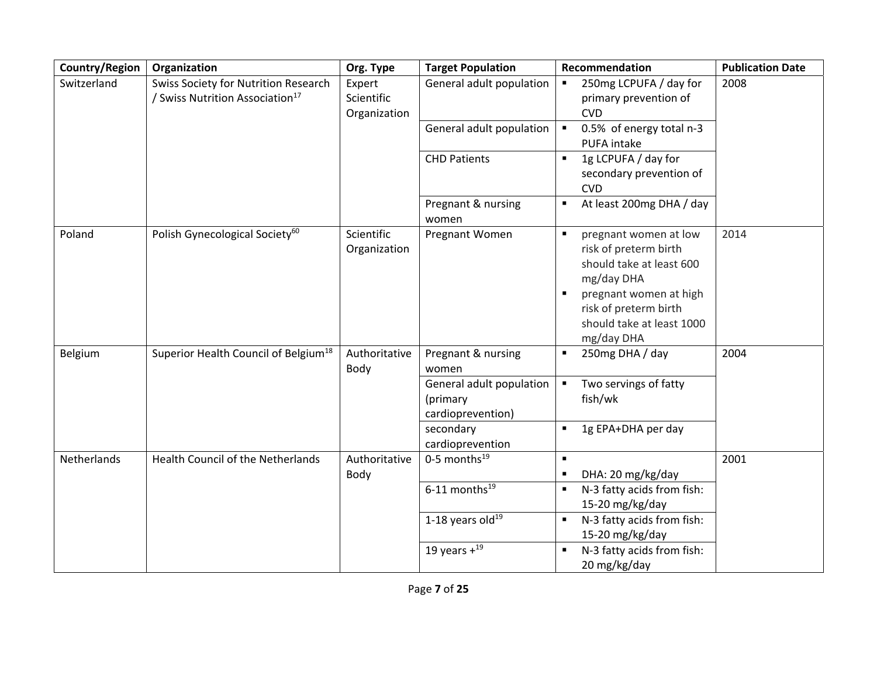| Country/Region | Organization                                                                        | Org. Type                            | <b>Target Population</b>                                | Recommendation                                                                                                                                                                                           | <b>Publication Date</b> |
|----------------|-------------------------------------------------------------------------------------|--------------------------------------|---------------------------------------------------------|----------------------------------------------------------------------------------------------------------------------------------------------------------------------------------------------------------|-------------------------|
| Switzerland    | Swiss Society for Nutrition Research<br>/ Swiss Nutrition Association <sup>17</sup> | Expert<br>Scientific<br>Organization | General adult population<br>General adult population    | 250mg LCPUFA / day for<br>primary prevention of<br><b>CVD</b><br>0.5% of energy total n-3<br>×<br>PUFA intake                                                                                            | 2008                    |
|                |                                                                                     |                                      | <b>CHD Patients</b>                                     | 1g LCPUFA / day for<br>secondary prevention of<br><b>CVD</b>                                                                                                                                             |                         |
|                |                                                                                     |                                      | Pregnant & nursing<br>women                             | At least 200mg DHA / day<br>п                                                                                                                                                                            |                         |
| Poland         | Polish Gynecological Society <sup>60</sup>                                          | Scientific<br>Organization           | Pregnant Women                                          | pregnant women at low<br>$\blacksquare$<br>risk of preterm birth<br>should take at least 600<br>mg/day DHA<br>pregnant women at high<br>risk of preterm birth<br>should take at least 1000<br>mg/day DHA | 2014                    |
| Belgium        | Superior Health Council of Belgium <sup>18</sup>                                    | Authoritative<br>Body                | Pregnant & nursing<br>women<br>General adult population | 250mg DHA / day<br>Two servings of fatty                                                                                                                                                                 | 2004                    |
|                |                                                                                     |                                      | (primary<br>cardioprevention)                           | fish/wk                                                                                                                                                                                                  |                         |
|                |                                                                                     |                                      | secondary<br>cardioprevention                           | 1g EPA+DHA per day                                                                                                                                                                                       |                         |
| Netherlands    | Health Council of the Netherlands                                                   | Authoritative<br>Body                | 0-5 months $^{19}$                                      | $\blacksquare$<br>DHA: 20 mg/kg/day                                                                                                                                                                      | 2001                    |
|                |                                                                                     |                                      | $6-11$ months <sup>19</sup>                             | N-3 fatty acids from fish:<br>15-20 mg/kg/day                                                                                                                                                            |                         |
|                |                                                                                     |                                      | 1-18 years old $^{19}$                                  | N-3 fatty acids from fish:<br>$\blacksquare$<br>15-20 mg/kg/day                                                                                                                                          |                         |
|                |                                                                                     |                                      | 19 years $+^{19}$                                       | N-3 fatty acids from fish:<br>$\blacksquare$<br>20 mg/kg/day                                                                                                                                             |                         |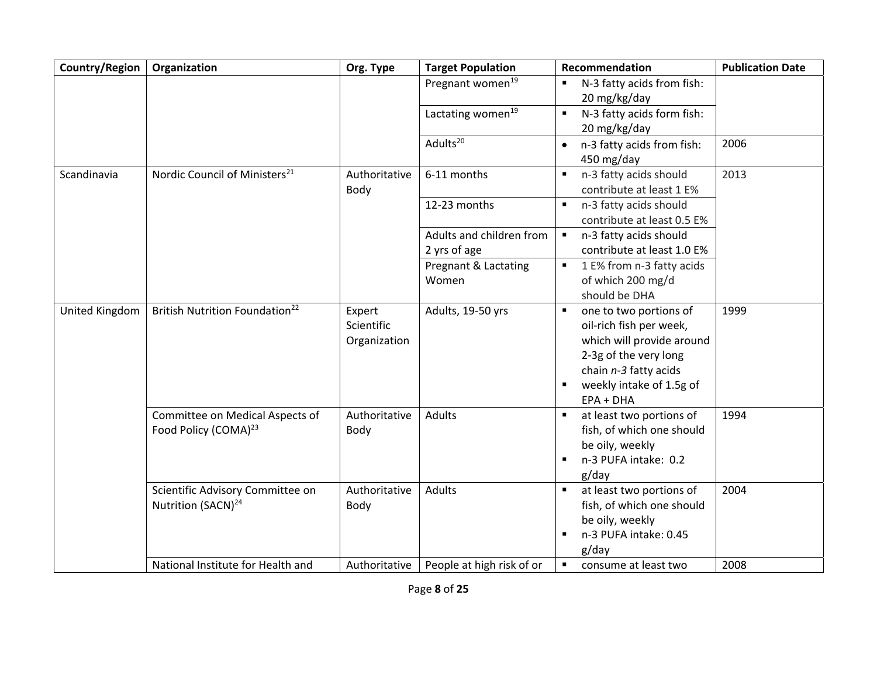| Country/Region | Organization                                                        | Org. Type                            | <b>Target Population</b>                 | Recommendation                                                                                                                                                                                                | <b>Publication Date</b> |
|----------------|---------------------------------------------------------------------|--------------------------------------|------------------------------------------|---------------------------------------------------------------------------------------------------------------------------------------------------------------------------------------------------------------|-------------------------|
|                |                                                                     |                                      | Pregnant women <sup>19</sup>             | N-3 fatty acids from fish:<br>$\blacksquare$<br>20 mg/kg/day                                                                                                                                                  |                         |
|                |                                                                     |                                      | Lactating women <sup>19</sup>            | N-3 fatty acids form fish:<br>$\blacksquare$<br>20 mg/kg/day                                                                                                                                                  |                         |
|                |                                                                     |                                      | Adults <sup>20</sup>                     | n-3 fatty acids from fish:<br>$\bullet$<br>450 mg/day                                                                                                                                                         | 2006                    |
| Scandinavia    | Nordic Council of Ministers <sup>21</sup>                           | Authoritative<br>Body                | 6-11 months                              | n-3 fatty acids should<br>$\blacksquare$<br>contribute at least 1 E%                                                                                                                                          | 2013                    |
|                |                                                                     |                                      | 12-23 months                             | n-3 fatty acids should<br>$\blacksquare$<br>contribute at least 0.5 E%                                                                                                                                        |                         |
|                |                                                                     |                                      | Adults and children from<br>2 yrs of age | n-3 fatty acids should<br>$\blacksquare$<br>contribute at least 1.0 E%                                                                                                                                        |                         |
|                |                                                                     |                                      | Pregnant & Lactating<br>Women            | 1 E% from n-3 fatty acids<br>$\blacksquare$<br>of which 200 mg/d<br>should be DHA                                                                                                                             |                         |
| United Kingdom | British Nutrition Foundation <sup>22</sup>                          | Expert<br>Scientific<br>Organization | Adults, 19-50 yrs                        | $\blacksquare$<br>one to two portions of<br>oil-rich fish per week,<br>which will provide around<br>2-3g of the very long<br>chain n-3 fatty acids<br>weekly intake of 1.5g of<br>$\blacksquare$<br>EPA + DHA | 1999                    |
|                | Committee on Medical Aspects of<br>Food Policy (COMA) <sup>23</sup> | Authoritative<br>Body                | <b>Adults</b>                            | at least two portions of<br>fish, of which one should<br>be oily, weekly<br>n-3 PUFA intake: 0.2<br>$\blacksquare$<br>$g$ /day                                                                                | 1994                    |
|                | Scientific Advisory Committee on<br>Nutrition (SACN) <sup>24</sup>  | Authoritative<br>Body                | <b>Adults</b>                            | at least two portions of<br>fish, of which one should<br>be oily, weekly<br>n-3 PUFA intake: 0.45<br>$\blacksquare$<br>g/day                                                                                  | 2004                    |
|                | National Institute for Health and                                   | Authoritative                        | People at high risk of or                | consume at least two                                                                                                                                                                                          | 2008                    |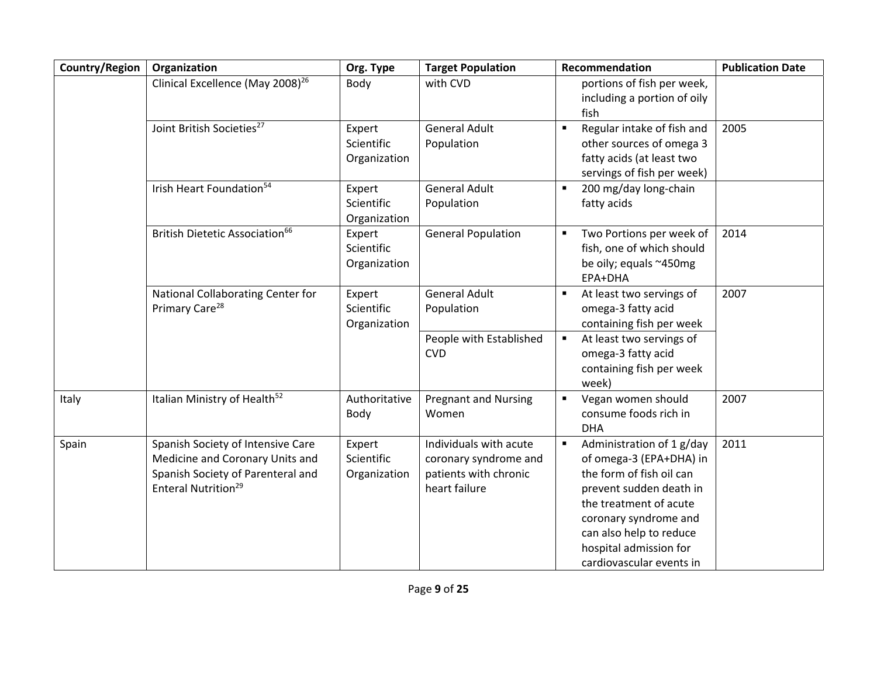| Country/Region | Organization                                                                                                                                 | Org. Type                            | <b>Target Population</b>                                                                  | Recommendation                                                                                                                                                                                                                                                    | <b>Publication Date</b> |
|----------------|----------------------------------------------------------------------------------------------------------------------------------------------|--------------------------------------|-------------------------------------------------------------------------------------------|-------------------------------------------------------------------------------------------------------------------------------------------------------------------------------------------------------------------------------------------------------------------|-------------------------|
|                | Clinical Excellence (May 2008) <sup>26</sup>                                                                                                 | Body                                 | with CVD                                                                                  | portions of fish per week,<br>including a portion of oily<br>fish                                                                                                                                                                                                 |                         |
|                | Joint British Societies <sup>27</sup>                                                                                                        | Expert<br>Scientific<br>Organization | <b>General Adult</b><br>Population                                                        | Regular intake of fish and<br>$\blacksquare$<br>other sources of omega 3<br>fatty acids (at least two<br>servings of fish per week)                                                                                                                               | 2005                    |
|                | Irish Heart Foundation <sup>54</sup>                                                                                                         | Expert<br>Scientific<br>Organization | <b>General Adult</b><br>Population                                                        | 200 mg/day long-chain<br>П<br>fatty acids                                                                                                                                                                                                                         |                         |
|                | British Dietetic Association <sup>66</sup>                                                                                                   | Expert<br>Scientific<br>Organization | <b>General Population</b>                                                                 | Two Portions per week of<br>$\blacksquare$<br>fish, one of which should<br>be oily; equals ~450mg<br>EPA+DHA                                                                                                                                                      | 2014                    |
|                | National Collaborating Center for<br>Primary Care <sup>28</sup>                                                                              | Expert<br>Scientific<br>Organization | <b>General Adult</b><br>Population                                                        | At least two servings of<br>$\blacksquare$<br>omega-3 fatty acid<br>containing fish per week                                                                                                                                                                      | 2007                    |
|                |                                                                                                                                              |                                      | People with Established<br><b>CVD</b>                                                     | At least two servings of<br>П<br>omega-3 fatty acid<br>containing fish per week<br>week)                                                                                                                                                                          |                         |
| Italy          | Italian Ministry of Health <sup>52</sup>                                                                                                     | Authoritative<br>Body                | <b>Pregnant and Nursing</b><br>Women                                                      | Vegan women should<br>consume foods rich in<br><b>DHA</b>                                                                                                                                                                                                         | 2007                    |
| Spain          | Spanish Society of Intensive Care<br>Medicine and Coronary Units and<br>Spanish Society of Parenteral and<br>Enteral Nutrition <sup>29</sup> | Expert<br>Scientific<br>Organization | Individuals with acute<br>coronary syndrome and<br>patients with chronic<br>heart failure | Administration of 1 g/day<br>$\blacksquare$<br>of omega-3 (EPA+DHA) in<br>the form of fish oil can<br>prevent sudden death in<br>the treatment of acute<br>coronary syndrome and<br>can also help to reduce<br>hospital admission for<br>cardiovascular events in | 2011                    |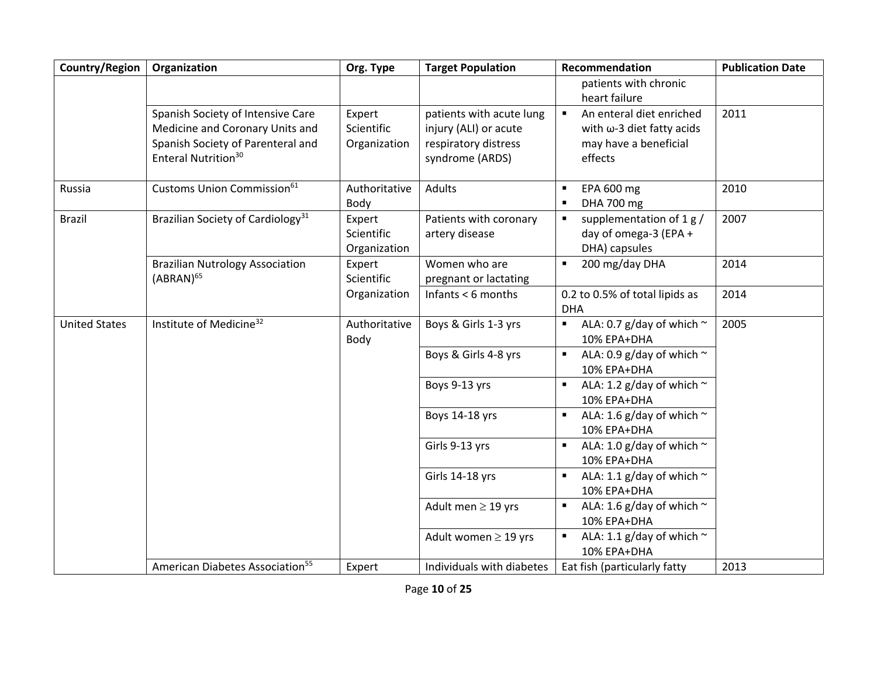| Country/Region       | Organization                                                                                                                                 | Org. Type                            | <b>Target Population</b>                                                                     | Recommendation                                                                                              | <b>Publication Date</b> |
|----------------------|----------------------------------------------------------------------------------------------------------------------------------------------|--------------------------------------|----------------------------------------------------------------------------------------------|-------------------------------------------------------------------------------------------------------------|-------------------------|
|                      |                                                                                                                                              |                                      |                                                                                              | patients with chronic<br>heart failure                                                                      |                         |
|                      | Spanish Society of Intensive Care<br>Medicine and Coronary Units and<br>Spanish Society of Parenteral and<br>Enteral Nutrition <sup>30</sup> | Expert<br>Scientific<br>Organization | patients with acute lung<br>injury (ALI) or acute<br>respiratory distress<br>syndrome (ARDS) | An enteral diet enriched<br>$\blacksquare$<br>with ω-3 diet fatty acids<br>may have a beneficial<br>effects | 2011                    |
| Russia               | Customs Union Commission <sup>61</sup>                                                                                                       | Authoritative<br>Body                | Adults                                                                                       | EPA 600 mg<br>٠<br>DHA 700 mg<br>$\blacksquare$                                                             | 2010                    |
| Brazil               | Brazilian Society of Cardiology <sup>31</sup>                                                                                                | Expert<br>Scientific<br>Organization | Patients with coronary<br>artery disease                                                     | supplementation of 1 g /<br>П<br>day of omega-3 (EPA +<br>DHA) capsules                                     | 2007                    |
|                      | <b>Brazilian Nutrology Association</b><br>$(ABRAN)^{65}$                                                                                     | Expert<br>Scientific                 | Women who are<br>pregnant or lactating                                                       | 200 mg/day DHA<br>$\blacksquare$                                                                            | 2014                    |
|                      |                                                                                                                                              | Organization                         | Infants $<$ 6 months                                                                         | 0.2 to 0.5% of total lipids as<br><b>DHA</b>                                                                | 2014                    |
| <b>United States</b> | Institute of Medicine <sup>32</sup>                                                                                                          | Authoritative<br>Body                | Boys & Girls 1-3 yrs                                                                         | ALA: 0.7 g/day of which $\sim$<br>$\blacksquare$<br>10% EPA+DHA                                             | 2005                    |
|                      |                                                                                                                                              |                                      | Boys & Girls 4-8 yrs                                                                         | ALA: 0.9 g/day of which $\sim$<br>10% EPA+DHA                                                               |                         |
|                      |                                                                                                                                              |                                      | Boys 9-13 yrs                                                                                | ALA: 1.2 g/day of which $\sim$<br>$\blacksquare$<br>10% EPA+DHA                                             |                         |
|                      |                                                                                                                                              |                                      | Boys 14-18 yrs                                                                               | ALA: 1.6 g/day of which $\sim$<br>$\blacksquare$<br>10% EPA+DHA                                             |                         |
|                      |                                                                                                                                              |                                      | Girls 9-13 yrs                                                                               | ALA: 1.0 g/day of which $\sim$<br>$\blacksquare$<br>10% EPA+DHA                                             |                         |
|                      |                                                                                                                                              |                                      | Girls 14-18 yrs                                                                              | ALA: 1.1 g/day of which $\sim$<br>$\blacksquare$<br>10% EPA+DHA                                             |                         |
|                      |                                                                                                                                              |                                      | Adult men $\geq$ 19 yrs                                                                      | ALA: 1.6 g/day of which $\sim$<br>10% EPA+DHA                                                               |                         |
|                      |                                                                                                                                              |                                      | Adult women $\geq$ 19 yrs                                                                    | ALA: 1.1 g/day of which $\sim$<br>10% EPA+DHA                                                               |                         |
|                      | American Diabetes Association <sup>55</sup>                                                                                                  | Expert                               | Individuals with diabetes                                                                    | Eat fish (particularly fatty                                                                                | 2013                    |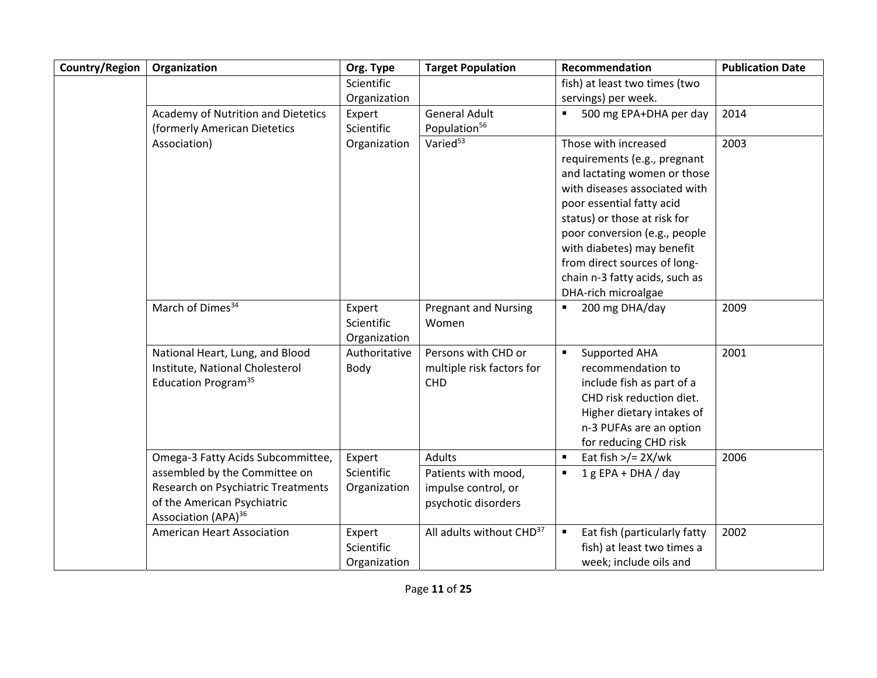| Country/Region | Organization                       | Org. Type     | <b>Target Population</b>             | Recommendation                                 | <b>Publication Date</b> |
|----------------|------------------------------------|---------------|--------------------------------------|------------------------------------------------|-------------------------|
|                |                                    | Scientific    |                                      | fish) at least two times (two                  |                         |
|                |                                    | Organization  |                                      | servings) per week.                            |                         |
|                | Academy of Nutrition and Dietetics | Expert        | <b>General Adult</b>                 | 500 mg EPA+DHA per day<br>٠                    | 2014                    |
|                | (formerly American Dietetics       | Scientific    | Population <sup>56</sup>             |                                                |                         |
|                | Association)                       | Organization  | Varied <sup>53</sup>                 | Those with increased                           | 2003                    |
|                |                                    |               |                                      | requirements (e.g., pregnant                   |                         |
|                |                                    |               |                                      | and lactating women or those                   |                         |
|                |                                    |               |                                      | with diseases associated with                  |                         |
|                |                                    |               |                                      | poor essential fatty acid                      |                         |
|                |                                    |               |                                      | status) or those at risk for                   |                         |
|                |                                    |               |                                      | poor conversion (e.g., people                  |                         |
|                |                                    |               |                                      | with diabetes) may benefit                     |                         |
|                |                                    |               |                                      | from direct sources of long-                   |                         |
|                |                                    |               |                                      | chain n-3 fatty acids, such as                 |                         |
|                |                                    |               |                                      | DHA-rich microalgae                            |                         |
|                | March of Dimes <sup>34</sup>       | Expert        | <b>Pregnant and Nursing</b>          | 200 mg DHA/day<br>Ξ                            | 2009                    |
|                |                                    | Scientific    | Women                                |                                                |                         |
|                |                                    | Organization  |                                      |                                                |                         |
|                | National Heart, Lung, and Blood    | Authoritative | Persons with CHD or                  | Supported AHA<br>$\blacksquare$                | 2001                    |
|                | Institute, National Cholesterol    | Body          | multiple risk factors for            | recommendation to                              |                         |
|                | Education Program <sup>35</sup>    |               | <b>CHD</b>                           | include fish as part of a                      |                         |
|                |                                    |               |                                      | CHD risk reduction diet.                       |                         |
|                |                                    |               |                                      | Higher dietary intakes of                      |                         |
|                |                                    |               |                                      | n-3 PUFAs are an option                        |                         |
|                |                                    |               |                                      | for reducing CHD risk                          |                         |
|                | Omega-3 Fatty Acids Subcommittee,  | Expert        | <b>Adults</b>                        | Eat fish $\frac{1}{2}$ 2X/wk<br>$\blacksquare$ | 2006                    |
|                | assembled by the Committee on      | Scientific    | Patients with mood,                  | $1 g EPA + DHA / day$<br>$\blacksquare$        |                         |
|                | Research on Psychiatric Treatments | Organization  | impulse control, or                  |                                                |                         |
|                | of the American Psychiatric        |               | psychotic disorders                  |                                                |                         |
|                | Association (APA) <sup>36</sup>    |               |                                      |                                                |                         |
|                | <b>American Heart Association</b>  | Expert        | All adults without CHD <sup>37</sup> | Eat fish (particularly fatty<br>٠              | 2002                    |
|                |                                    | Scientific    |                                      | fish) at least two times a                     |                         |
|                |                                    | Organization  |                                      | week; include oils and                         |                         |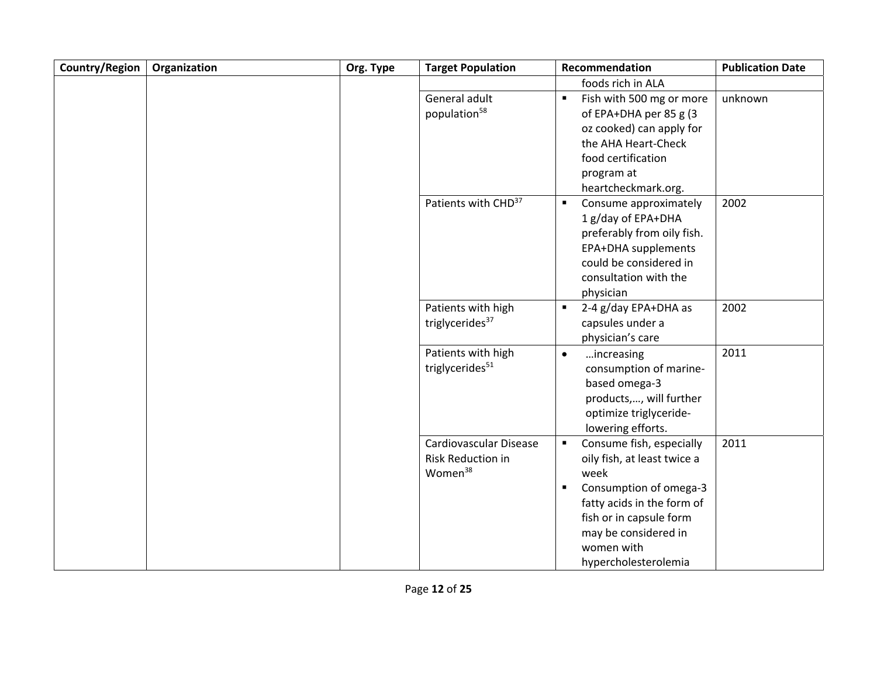| Country/Region | Organization | Org. Type | <b>Target Population</b>        | Recommendation                             | <b>Publication Date</b> |
|----------------|--------------|-----------|---------------------------------|--------------------------------------------|-------------------------|
|                |              |           |                                 | foods rich in ALA                          |                         |
|                |              |           | General adult                   | Fish with 500 mg or more<br>$\blacksquare$ | unknown                 |
|                |              |           | population <sup>58</sup>        | of EPA+DHA per 85 g (3                     |                         |
|                |              |           |                                 | oz cooked) can apply for                   |                         |
|                |              |           |                                 | the AHA Heart-Check                        |                         |
|                |              |           |                                 | food certification                         |                         |
|                |              |           |                                 | program at                                 |                         |
|                |              |           |                                 | heartcheckmark.org.                        |                         |
|                |              |           | Patients with CHD <sup>37</sup> | Consume approximately<br>$\blacksquare$    | 2002                    |
|                |              |           |                                 | 1 g/day of EPA+DHA                         |                         |
|                |              |           |                                 | preferably from oily fish.                 |                         |
|                |              |           |                                 | EPA+DHA supplements                        |                         |
|                |              |           |                                 | could be considered in                     |                         |
|                |              |           |                                 | consultation with the                      |                         |
|                |              |           |                                 | physician                                  |                         |
|                |              |           | Patients with high              | 2-4 g/day EPA+DHA as<br>$\blacksquare$     | 2002                    |
|                |              |           | triglycerides <sup>37</sup>     | capsules under a                           |                         |
|                |              |           |                                 | physician's care                           |                         |
|                |              |           | Patients with high              | increasing<br>$\bullet$                    | 2011                    |
|                |              |           | triglycerides <sup>51</sup>     | consumption of marine-                     |                         |
|                |              |           |                                 | based omega-3                              |                         |
|                |              |           |                                 | products,, will further                    |                         |
|                |              |           |                                 | optimize triglyceride-                     |                         |
|                |              |           |                                 | lowering efforts.                          |                         |
|                |              |           | Cardiovascular Disease          | Consume fish, especially<br>$\blacksquare$ | 2011                    |
|                |              |           | <b>Risk Reduction in</b>        | oily fish, at least twice a                |                         |
|                |              |           | Women <sup>38</sup>             | week                                       |                         |
|                |              |           |                                 | Consumption of omega-3<br>$\blacksquare$   |                         |
|                |              |           |                                 | fatty acids in the form of                 |                         |
|                |              |           |                                 | fish or in capsule form                    |                         |
|                |              |           |                                 | may be considered in                       |                         |
|                |              |           |                                 | women with                                 |                         |
|                |              |           |                                 | hypercholesterolemia                       |                         |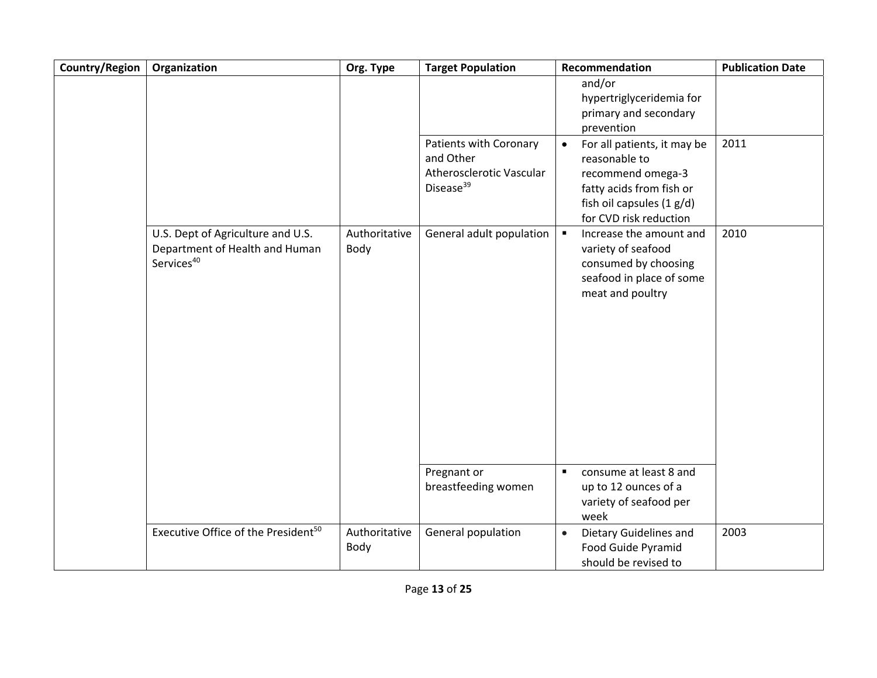| Country/Region | Organization                                                                                  | Org. Type             | <b>Target Population</b>                                                                 | Recommendation                                                                                                                                                                                                                        | <b>Publication Date</b> |
|----------------|-----------------------------------------------------------------------------------------------|-----------------------|------------------------------------------------------------------------------------------|---------------------------------------------------------------------------------------------------------------------------------------------------------------------------------------------------------------------------------------|-------------------------|
|                |                                                                                               |                       |                                                                                          | and/or<br>hypertriglyceridemia for<br>primary and secondary<br>prevention                                                                                                                                                             |                         |
|                |                                                                                               |                       | Patients with Coronary<br>and Other<br>Atherosclerotic Vascular<br>Disease <sup>39</sup> | For all patients, it may be<br>$\bullet$<br>reasonable to<br>recommend omega-3<br>fatty acids from fish or<br>fish oil capsules (1 g/d)<br>for CVD risk reduction                                                                     | 2011                    |
|                | U.S. Dept of Agriculture and U.S.<br>Department of Health and Human<br>Services <sup>40</sup> | Authoritative<br>Body | General adult population<br>Pregnant or<br>breastfeeding women                           | Increase the amount and<br>$\blacksquare$<br>variety of seafood<br>consumed by choosing<br>seafood in place of some<br>meat and poultry<br>consume at least 8 and<br>$\blacksquare$<br>up to 12 ounces of a<br>variety of seafood per | 2010                    |
|                |                                                                                               |                       |                                                                                          | week                                                                                                                                                                                                                                  |                         |
|                | Executive Office of the President <sup>50</sup>                                               | Authoritative<br>Body | General population                                                                       | Dietary Guidelines and<br>$\bullet$<br>Food Guide Pyramid<br>should be revised to                                                                                                                                                     | 2003                    |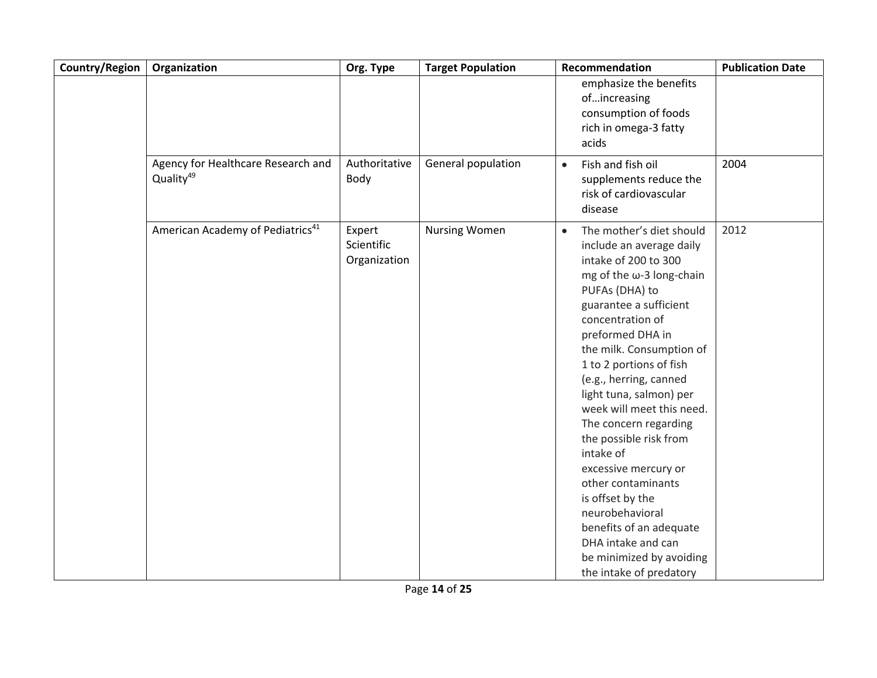| Country/Region | Organization                                                | Org. Type                            | <b>Target Population</b> | Recommendation                                                                                                                                                                                                                                                                                                                                                                                                                                                                                                                                                                                                          | <b>Publication Date</b> |
|----------------|-------------------------------------------------------------|--------------------------------------|--------------------------|-------------------------------------------------------------------------------------------------------------------------------------------------------------------------------------------------------------------------------------------------------------------------------------------------------------------------------------------------------------------------------------------------------------------------------------------------------------------------------------------------------------------------------------------------------------------------------------------------------------------------|-------------------------|
|                |                                                             |                                      |                          | emphasize the benefits<br>ofincreasing<br>consumption of foods<br>rich in omega-3 fatty<br>acids                                                                                                                                                                                                                                                                                                                                                                                                                                                                                                                        |                         |
|                | Agency for Healthcare Research and<br>Quality <sup>49</sup> | Authoritative<br>Body                | General population       | Fish and fish oil<br>$\bullet$<br>supplements reduce the<br>risk of cardiovascular<br>disease                                                                                                                                                                                                                                                                                                                                                                                                                                                                                                                           | 2004                    |
|                | American Academy of Pediatrics <sup>41</sup>                | Expert<br>Scientific<br>Organization | <b>Nursing Women</b>     | The mother's diet should<br>$\bullet$<br>include an average daily<br>intake of 200 to 300<br>mg of the $\omega$ -3 long-chain<br>PUFAs (DHA) to<br>guarantee a sufficient<br>concentration of<br>preformed DHA in<br>the milk. Consumption of<br>1 to 2 portions of fish<br>(e.g., herring, canned<br>light tuna, salmon) per<br>week will meet this need.<br>The concern regarding<br>the possible risk from<br>intake of<br>excessive mercury or<br>other contaminants<br>is offset by the<br>neurobehavioral<br>benefits of an adequate<br>DHA intake and can<br>be minimized by avoiding<br>the intake of predatory | 2012                    |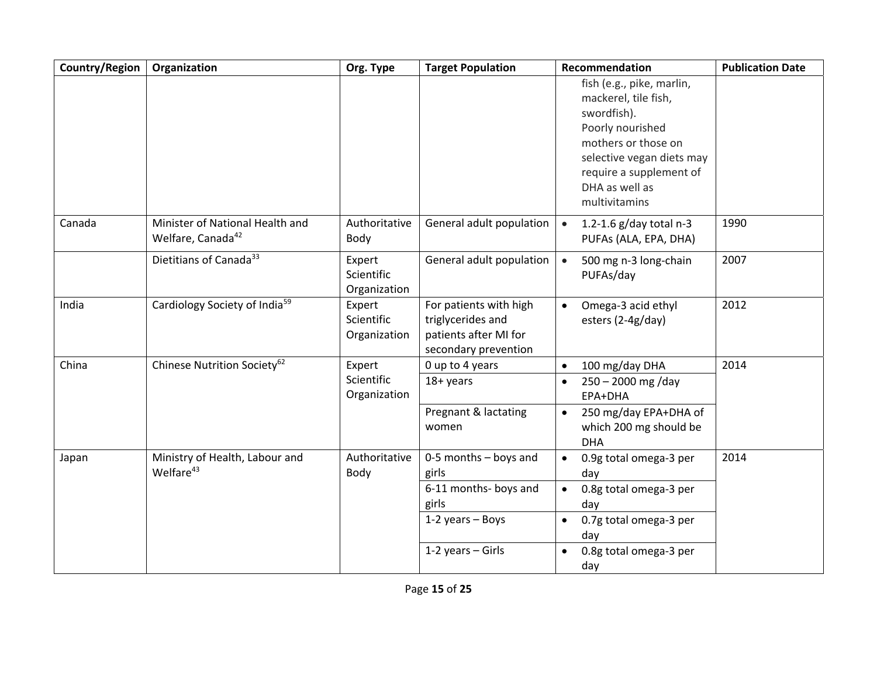| Country/Region | Organization                                                     | Org. Type                            | <b>Target Population</b>                                                                     | Recommendation                                                                                                                                                      | <b>Publication Date</b> |
|----------------|------------------------------------------------------------------|--------------------------------------|----------------------------------------------------------------------------------------------|---------------------------------------------------------------------------------------------------------------------------------------------------------------------|-------------------------|
|                |                                                                  |                                      |                                                                                              | fish (e.g., pike, marlin,<br>mackerel, tile fish,<br>swordfish).<br>Poorly nourished<br>mothers or those on<br>selective vegan diets may<br>require a supplement of |                         |
|                |                                                                  |                                      |                                                                                              | DHA as well as<br>multivitamins                                                                                                                                     |                         |
| Canada         | Minister of National Health and<br>Welfare, Canada <sup>42</sup> | Authoritative<br>Body                | General adult population                                                                     | 1.2-1.6 g/day total n-3<br>$\bullet$<br>PUFAs (ALA, EPA, DHA)                                                                                                       | 1990                    |
|                | Dietitians of Canada <sup>33</sup>                               | Expert<br>Scientific<br>Organization | General adult population                                                                     | 500 mg n-3 long-chain<br>$\bullet$<br>PUFAs/day                                                                                                                     | 2007                    |
| India          | Cardiology Society of India <sup>59</sup>                        | Expert<br>Scientific<br>Organization | For patients with high<br>triglycerides and<br>patients after MI for<br>secondary prevention | Omega-3 acid ethyl<br>$\bullet$<br>esters (2-4g/day)                                                                                                                | 2012                    |
| China          | Chinese Nutrition Society <sup>62</sup>                          | Expert                               | 0 up to 4 years                                                                              | 100 mg/day DHA<br>$\bullet$                                                                                                                                         | 2014                    |
|                |                                                                  | Scientific<br>Organization           | 18+ years                                                                                    | $250 - 2000$ mg /day<br>EPA+DHA                                                                                                                                     |                         |
|                |                                                                  |                                      | Pregnant & lactating<br>women                                                                | 250 mg/day EPA+DHA of<br>$\bullet$<br>which 200 mg should be<br><b>DHA</b>                                                                                          |                         |
| Japan          | Ministry of Health, Labour and<br>Welfare <sup>43</sup>          | Authoritative<br>Body                | $0-5$ months $-$ boys and<br>girls                                                           | 0.9g total omega-3 per<br>$\bullet$<br>day                                                                                                                          | 2014                    |
|                |                                                                  |                                      | 6-11 months- boys and<br>girls                                                               | 0.8g total omega-3 per<br>$\bullet$<br>day                                                                                                                          |                         |
|                |                                                                  |                                      | $1-2$ years - Boys                                                                           | 0.7g total omega-3 per<br>$\bullet$<br>day                                                                                                                          |                         |
|                |                                                                  |                                      | 1-2 years - Girls                                                                            | 0.8g total omega-3 per<br>$\bullet$<br>day                                                                                                                          |                         |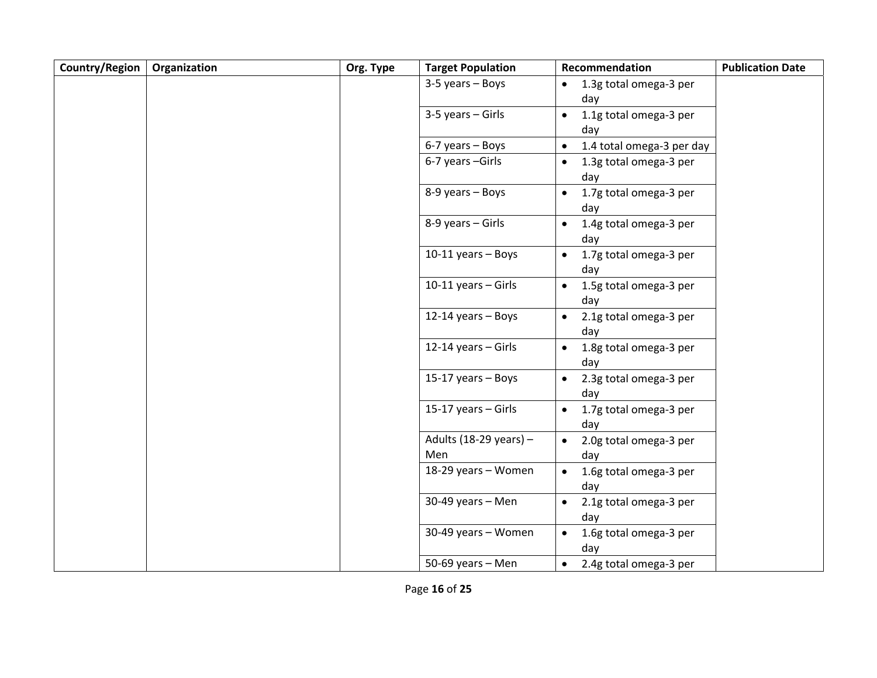| Country/Region | Organization | Org. Type | <b>Target Population</b> | Recommendation                             | <b>Publication Date</b> |
|----------------|--------------|-----------|--------------------------|--------------------------------------------|-------------------------|
|                |              |           | 3-5 years - Boys         | 1.3g total omega-3 per<br>$\bullet$        |                         |
|                |              |           |                          | day                                        |                         |
|                |              |           | 3-5 years - Girls        | 1.1g total omega-3 per<br>$\bullet$        |                         |
|                |              |           |                          | day                                        |                         |
|                |              |           | 6-7 years - Boys         | 1.4 total omega-3 per day<br>$\bullet$     |                         |
|                |              |           | 6-7 years -Girls         | 1.3g total omega-3 per<br>$\bullet$        |                         |
|                |              |           |                          | day                                        |                         |
|                |              |           | 8-9 years - Boys         | 1.7g total omega-3 per<br>$\bullet$        |                         |
|                |              |           |                          | day                                        |                         |
|                |              |           | 8-9 years - Girls        | 1.4g total omega-3 per<br>$\bullet$        |                         |
|                |              |           |                          | day                                        |                         |
|                |              |           | 10-11 years - Boys       | 1.7g total omega-3 per<br>$\bullet$        |                         |
|                |              |           |                          | day                                        |                         |
|                |              |           | 10-11 years - Girls      | 1.5g total omega-3 per<br>$\bullet$        |                         |
|                |              |           |                          | day                                        |                         |
|                |              |           | $12-14$ years - Boys     | 2.1g total omega-3 per<br>$\bullet$        |                         |
|                |              |           |                          | day                                        |                         |
|                |              |           | 12-14 years - Girls      | 1.8g total omega-3 per                     |                         |
|                |              |           |                          | day                                        |                         |
|                |              |           | 15-17 years - Boys       | 2.3g total omega-3 per<br>$\bullet$        |                         |
|                |              |           | 15-17 years - Girls      | day                                        |                         |
|                |              |           |                          | 1.7g total omega-3 per<br>$\bullet$<br>day |                         |
|                |              |           | Adults (18-29 years) $-$ | 2.0g total omega-3 per<br>$\bullet$        |                         |
|                |              |           | Men                      | day                                        |                         |
|                |              |           | 18-29 years - Women      | 1.6g total omega-3 per                     |                         |
|                |              |           |                          | day                                        |                         |
|                |              |           | 30-49 years - Men        | 2.1g total omega-3 per<br>$\bullet$        |                         |
|                |              |           |                          | day                                        |                         |
|                |              |           | 30-49 years - Women      | 1.6g total omega-3 per<br>$\bullet$        |                         |
|                |              |           |                          | day                                        |                         |
|                |              |           | 50-69 years - Men        | 2.4g total omega-3 per<br>$\bullet$        |                         |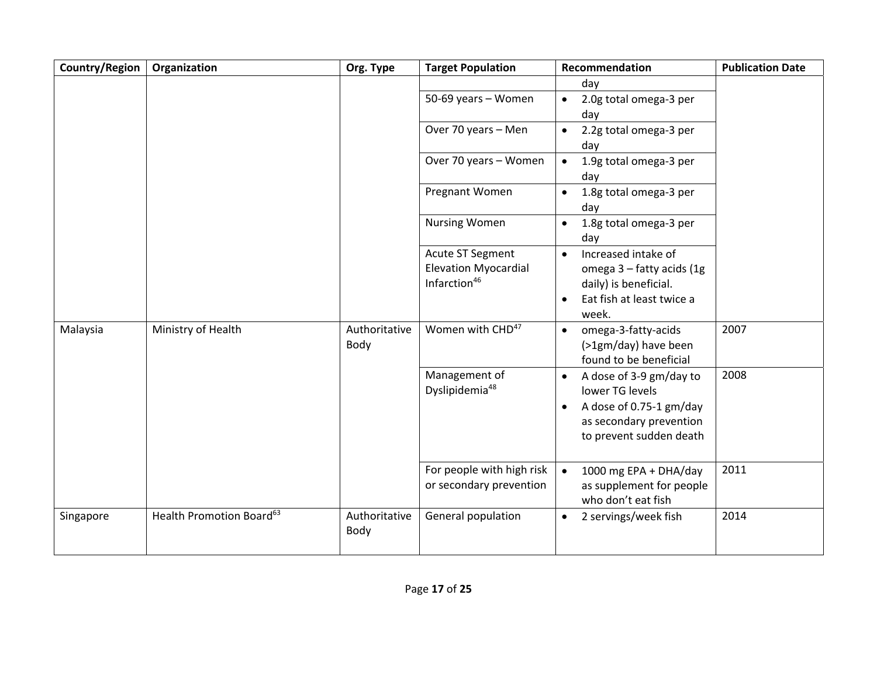| Country/Region | Organization                         | Org. Type             | <b>Target Population</b>                                                           | Recommendation                                                                                                                                        | <b>Publication Date</b> |
|----------------|--------------------------------------|-----------------------|------------------------------------------------------------------------------------|-------------------------------------------------------------------------------------------------------------------------------------------------------|-------------------------|
|                |                                      |                       |                                                                                    | day                                                                                                                                                   |                         |
|                |                                      |                       | 50-69 years - Women                                                                | 2.0g total omega-3 per<br>$\bullet$<br>day                                                                                                            |                         |
|                |                                      |                       | Over 70 years - Men                                                                | 2.2g total omega-3 per<br>day                                                                                                                         |                         |
|                |                                      |                       | Over 70 years - Women                                                              | 1.9g total omega-3 per<br>$\bullet$<br>day                                                                                                            |                         |
|                |                                      |                       | Pregnant Women                                                                     | 1.8g total omega-3 per<br>$\bullet$<br>day                                                                                                            |                         |
|                |                                      |                       | <b>Nursing Women</b>                                                               | 1.8g total omega-3 per<br>$\bullet$<br>day                                                                                                            |                         |
|                |                                      |                       | <b>Acute ST Segment</b><br><b>Elevation Myocardial</b><br>Infarction <sup>46</sup> | Increased intake of<br>$\bullet$<br>omega 3 - fatty acids (1g<br>daily) is beneficial.<br>Eat fish at least twice a<br>$\bullet$<br>week.             |                         |
| Malaysia       | Ministry of Health                   | Authoritative<br>Body | Women with CHD <sup>47</sup>                                                       | omega-3-fatty-acids<br>$\bullet$<br>(>1gm/day) have been<br>found to be beneficial                                                                    | 2007                    |
|                |                                      |                       | Management of<br>Dyslipidemia <sup>48</sup>                                        | A dose of 3-9 gm/day to<br>$\bullet$<br>lower TG levels<br>A dose of 0.75-1 gm/day<br>$\bullet$<br>as secondary prevention<br>to prevent sudden death | 2008                    |
|                |                                      |                       | For people with high risk<br>or secondary prevention                               | 1000 mg EPA + DHA/day<br>$\bullet$<br>as supplement for people<br>who don't eat fish                                                                  | 2011                    |
| Singapore      | Health Promotion Board <sup>63</sup> | Authoritative<br>Body | General population                                                                 | 2 servings/week fish<br>$\bullet$                                                                                                                     | 2014                    |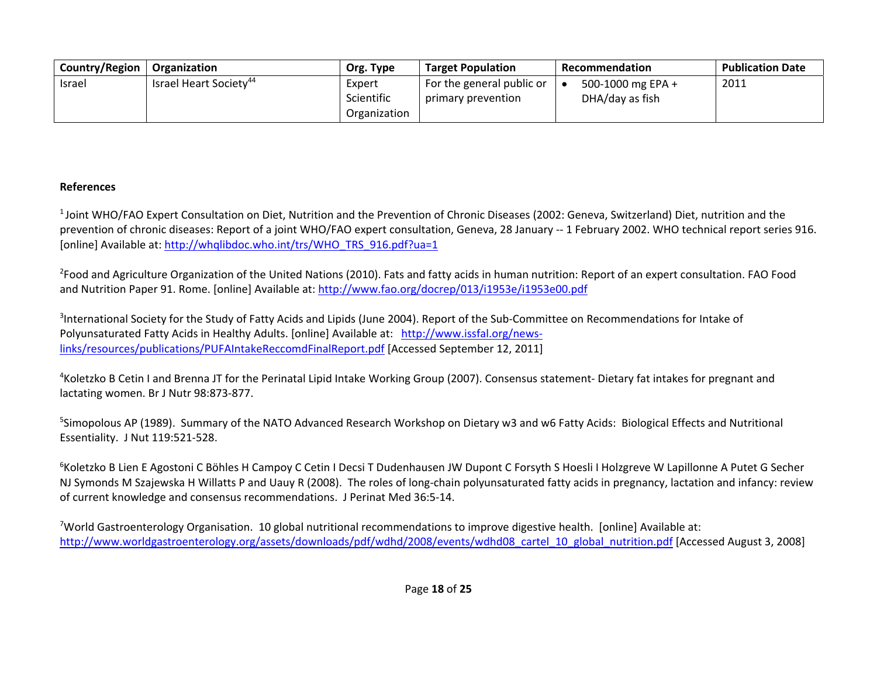| Country/Region | <b>Organization</b>                | Org. Type    | <b>Target Population</b>  | Recommendation    | <b>Publication Date</b> |
|----------------|------------------------------------|--------------|---------------------------|-------------------|-------------------------|
| <b>Israel</b>  | Israel Heart Society <sup>44</sup> | Expert       | For the general public or | 500-1000 mg EPA + | 2011                    |
|                |                                    | Scientific   | primary prevention        | DHA/day as fish   |                         |
|                |                                    | Organization |                           |                   |                         |

## **References**

1 Joint WHO/FAO Expert Consultation on Diet, Nutrition and the Prevention of Chronic Diseases (2002: Geneva, Switzerland) Diet, nutrition and the prevention of chronic diseases: Report of <sup>a</sup> joint WHO/FAO expert consultation, Geneva, 28 January ‐‐ 1 February 2002. WHO technical report series 916. [online] Available at: http://whqlibdoc.who.int/trs/WHO\_TRS\_916.pdf?ua=1

<sup>2</sup>Food and Agriculture Organization of the United Nations (2010). Fats and fatty acids in human nutrition: Report of an expert consultation. FAO Food and Nutrition Paper 91. Rome. [online] Available at: <u>http://www.fao.org/docrep/013/i1953e/i1953e00.pdf</u>

<sup>3</sup>International Society for the Study of Fatty Acids and Lipids (June 2004). Report of the Sub-Committee on Recommendations for Intake of Polyunsaturated Fatty Acids in Healthy Adults. [online] Available at: http://www.issfal.org/news‐ links/resources/publications/PUFAIntakeReccomdFinalReport.pdf [Accessed September 12, 2011]

4Koletzko B Cetin I and Brenna JT for the Perinatal Lipid Intake Working Group (2007). Consensus statement‐ Dietary fat intakes for pregnant and lactating women. Br J Nutr 98:873‐877.

5Simopolous AP (1989). Summary of the NATO Advanced Research Workshop on Dietary w3 and w6 Fatty Acids: Biological Effects and Nutritional Essentiality. J Nut 119:521‐528.

<sup>6</sup>Koletzko B Lien E Agostoni C Böhles H Campoy C Cetin I Decsi T Dudenhausen JW Dupont C Forsyth S Hoesli I Holzgreve W Lapillonne A Putet G Secher NJ Symonds M Szajewska H Willatts P and Uauy R (2008). The roles of long‐chain polyunsaturated fatty acids in pregnancy, lactation and infancy: review of current knowledge and consensus recommendations. J Perinat Med 36:5‐14.

<sup>7</sup>World Gastroenterology Organisation. 10 global nutritional recommendations to improve digestive health. [online] Available at: http://www.worldgastroenterology.org/assets/downloads/pdf/wdhd/2008/events/wdhd08\_cartel\_10\_global\_nutrition.pdf [Accessed August 3, 2008]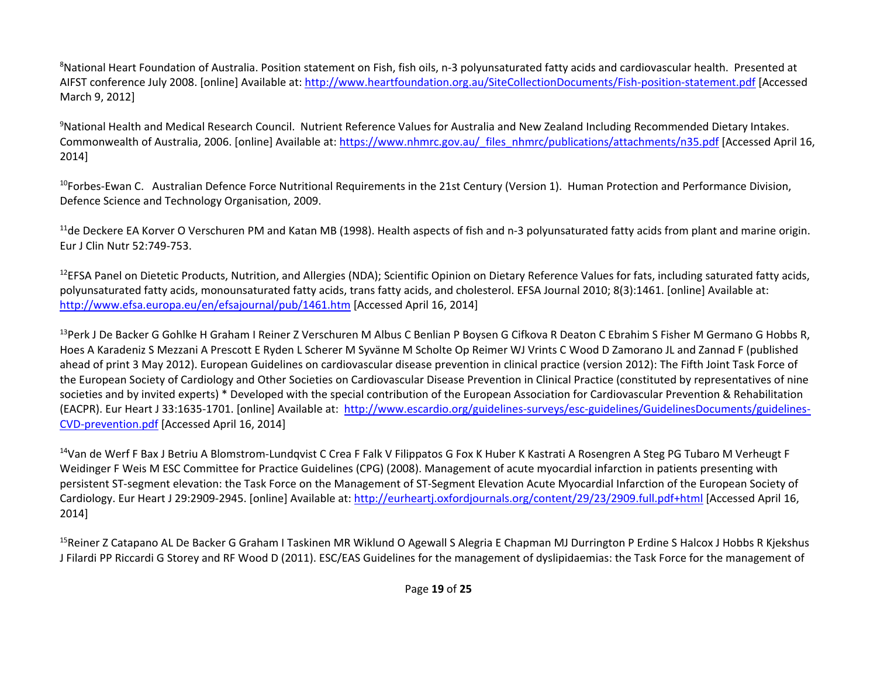${}^{8}$ National Heart Foundation of Australia. Position statement on Fish, fish oils, n-3 polyunsaturated fatty acids and cardiovascular health. Presented at AIFST conference July 2008. [online] Available at: http://www.heartfoundation.org.au/SiteCollectionDocuments/Fish-position-statement.pdf [Accessed March 9, 2012]

9National Health and Medical Research Council. Nutrient Reference Values for Australia and New Zealand Including Recommended Dietary Intakes. Commonwealth of Australia, 2006. [online] Available at: https://www.nhmrc.gov.au/ files\_nhmrc/publications/attachments/n35.pdf [Accessed April 16, 2014]

<sup>10</sup>Forbes-Ewan C. Australian Defence Force Nutritional Requirements in the 21st Century (Version 1). Human Protection and Performance Division, Defence Science and Technology Organisation, 2009.

 $^{11}$ de Deckere EA Korver O Verschuren PM and Katan MB (1998). Health aspects of fish and n-3 polyunsaturated fatty acids from plant and marine origin. Eur J Clin Nutr 52:749‐753.

 $^{12}$ EFSA Panel on Dietetic Products, Nutrition, and Allergies (NDA); Scientific Opinion on Dietary Reference Values for fats, including saturated fatty acids, polyunsaturated fatty acids, monounsaturated fatty acids, trans fatty acids, and cholesterol. EFSA Journal 2010; 8(3):1461. [online] Available at: http://www.efsa.europa.eu/en/efsajournal/pub/1461.htm [Accessed April 16, 2014]

<sup>13</sup>Perk J De Backer G Gohlke H Graham I Reiner Z Verschuren M Albus C Benlian P Boysen G Cifkova R Deaton C Ebrahim S Fisher M Germano G Hobbs R, Hoes A Karadeniz S Mezzani A Prescott E Ryden L Scherer M Syvänne M Scholte Op Reimer WJ Vrints C Wood D Zamorano JL and Zannad F (published ahead of print 3 May 2012). European Guidelines on cardiovascular disease prevention in clinical practice (version 2012): The Fifth Joint Task Force of the European Society of Cardiology and Other Societies on Cardiovascular Disease Prevention in Clinical Practice (constituted by representatives of nine societies and by invited experts) \* Developed with the special contribution of the European Association for Cardiovascular Prevention & Rehabilitation (EACPR). Eur Heart J 33:1635‐1701. [online] Available at: http://www.escardio.org/guidelines‐surveys/esc‐guidelines/GuidelinesDocuments/guidelines‐ CVD‐prevention.pdf [Accessed April 16, 2014]

<sup>14</sup>Van de Werf F Bax J Betriu A Blomstrom-Lundqvist C Crea F Falk V Filippatos G Fox K Huber K Kastrati A Rosengren A Steg PG Tubaro M Verheugt F Weidinger F Weis M ESC Committee for Practice Guidelines (CPG) (2008). Management of acute myocardial infarction in patients presenting with persistent ST‐segment elevation: the Task Force on the Management of ST‐Segment Elevation Acute Myocardial Infarction of the European Society of Cardiology. Eur Heart J 29:2909‐2945. [online] Available at: http://eurheartj.oxfordjournals.org/content/29/23/2909.full.pdf+html [Accessed April 16, 2014]

<sup>15</sup>Reiner Z Catapano AL De Backer G Graham I Taskinen MR Wiklund O Agewall S Alegria E Chapman MJ Durrington P Erdine S Halcox J Hobbs R Kjekshus J Filardi PP Riccardi G Storey and RF Wood D (2011). ESC/EAS Guidelines for the management of dyslipidaemias: the Task Force for the management of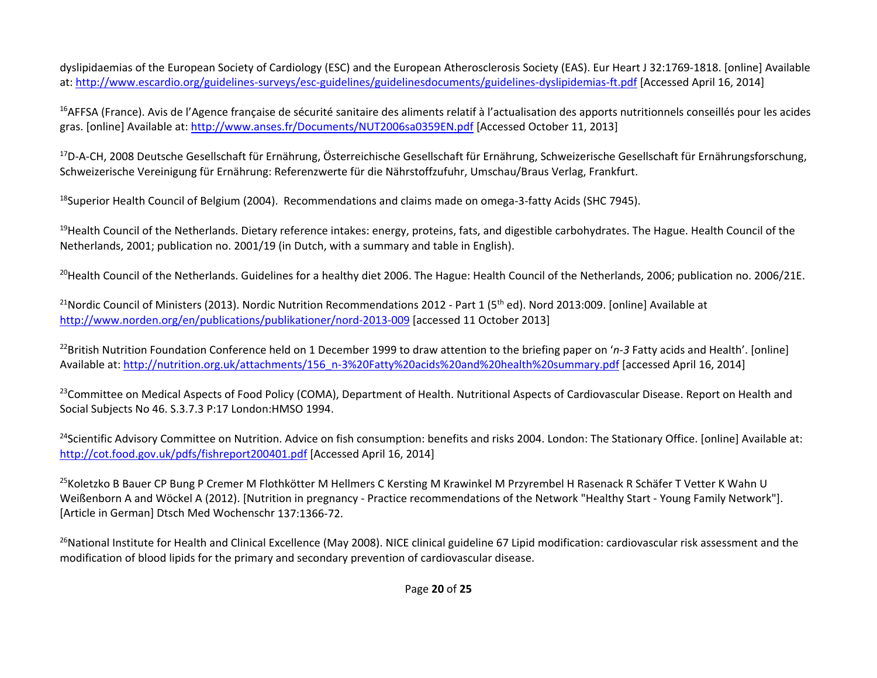dyslipidaemias of the European Society of Cardiology (ESC) and the European Atherosclerosis Society (EAS). Eur Heart J 32:1769‐1818. [online] Available at: http://www.escardio.org/guidelines-surveys/esc-guidelines/guidelinesdocuments/guidelines-dyslipidemias-ft.pdf [Accessed April 16, 2014]

<sup>16</sup>AFFSA (France). Avis de l'Agence française de sécurité sanitaire des aliments relatif à l'actualisation des apports nutritionnels conseillés pour les acides gras. [online] Available at: http://www.anses.fr/Documents/NUT2006sa0359EN.pdf [Accessed October 11, 2013]

<sup>17</sup>D-A-CH, 2008 Deutsche Gesellschaft für Ernährung, Österreichische Gesellschaft für Ernährung, Schweizerische Gesellschaft für Ernährungsforschung, Schweizerische Vereinigung für Ernährung: Referenzwerte für die Nährstoffzufuhr, Umschau/Braus Verlag, Frankfurt.

<sup>18</sup>Superior Health Council of Belgium (2004). Recommendations and claims made on omega-3-fatty Acids (SHC 7945).

<sup>19</sup>Health Council of the Netherlands. Dietary reference intakes: energy, proteins, fats, and digestible carbohydrates. The Hague. Health Council of the Netherlands, 2001; publication no. 2001/19 (in Dutch, with <sup>a</sup> summary and table in English).

<sup>20</sup>Health Council of the Netherlands. Guidelines for a healthy diet 2006. The Hague: Health Council of the Netherlands, 2006; publication no. 2006/21E.

 $^{21}$ Nordic Council of Ministers (2013). Nordic Nutrition Recommendations 2012 - Part 1 (5<sup>th</sup> ed). Nord 2013:009. [online] Available at http://www.norden.org/en/publications/publikationer/nord‐2013‐009 [accessed 11 October 2013]

22British Nutrition Foundation Conference held on 1 December 1999 to draw attention to the briefing paper on '*n‐3* Fatty acids and Health'. [online] Available at: http://nutrition.org.uk/attachments/156\_n-3%20Fatty%20acids%20and%20health%20summary.pdf [accessed April 16, 2014]

<sup>23</sup>Committee on Medical Aspects of Food Policy (COMA), Department of Health. Nutritional Aspects of Cardiovascular Disease. Report on Health and Social Subjects No 46. S.3.7.3 P:17 London:HMSO 1994.

<sup>24</sup>Scientific Advisory Committee on Nutrition. Advice on fish consumption: benefits and risks 2004. London: The Stationary Office. [online] Available at: http://cot.food.gov.uk/pdfs/fishreport200401.pdf [Accessed April 16, 2014]

<sup>25</sup>Koletzko B Bauer CP Bung P Cremer M Flothkötter M Hellmers C Kersting M Krawinkel M Przyrembel H Rasenack R Schäfer T Vetter K Wahn U Weißenborn A and Wöckel A (2012). [Nutrition in pregnancy ‐ Practice recommendations of the Network "Healthy Start ‐ Young Family Network"]. [Article in German] Dtsch Med Wochenschr 137:1366‐72.

<sup>26</sup>National Institute for Health and Clinical Excellence (May 2008). NICE clinical guideline 67 Lipid modification: cardiovascular risk assessment and the modification of blood lipids for the primary and secondary prevention of cardiovascular disease.

Page **20** of **25**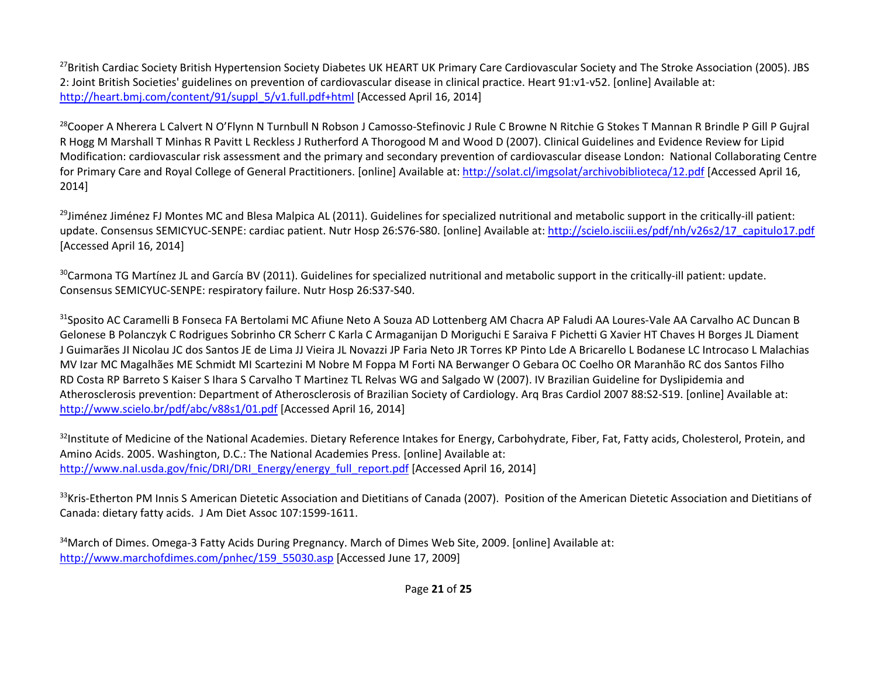$^{27}$ British Cardiac Society British Hypertension Society Diabetes UK HEART UK Primary Care Cardiovascular Society and The Stroke Association (2005). JBS 2: Joint British Societies' guidelines on prevention of cardiovascular disease in clinical practice. Heart 91:v1‐v52. [online] Available at: http://heart.bmj.com/content/91/suppl\_5/v1.full.pdf+html [Accessed April 16, 2014]

<sup>28</sup>Cooper A Nherera L Calvert N O'Flynn N Turnbull N Robson J Camosso-Stefinovic J Rule C Browne N Ritchie G Stokes T Mannan R Brindle P Gill P Gujral R Hogg M Marshall T Minhas R Pavitt L Reckless J Rutherford A Thorogood M and Wood D (2007). Clinical Guidelines and Evidence Review for Lipid Modification: cardiovascular risk assessment and the primary and secondary prevention of cardiovascular disease London: National Collaborating Centre for Primary Care and Royal College of General Practitioners. [online] Available at: http://solat.cl/imgsolat/archivobiblioteca/12.pdf [Accessed April 16, 2014]

<sup>29</sup>Jiménez Jiménez FJ Montes MC and Blesa Malpica AL (2011). Guidelines for specialized nutritional and metabolic support in the critically-ill patient: update. Consensus SEMICYUC-SENPE: cardiac patient. Nutr Hosp 26:S76-S80. [online] Available at: http://scielo.isciii.es/pdf/nh/v26s2/17\_capitulo17.pdf [Accessed April 16, 2014]

 $^{30}$ Carmona TG Martínez JL and García BV (2011). Guidelines for specialized nutritional and metabolic support in the critically-ill patient: update. Consensus SEMICYUC‐SENPE: respiratory failure. Nutr Hosp 26:S37‐S40.

<sup>31</sup>Sposito AC Caramelli B Fonseca FA Bertolami MC Afiune Neto A Souza AD Lottenberg AM Chacra AP Faludi AA Loures-Vale AA Carvalho AC Duncan B Gelonese B Polanczyk C Rodrigues Sobrinho CR Scherr C Karla C Armaganijan D Moriguchi E Saraiva F Pichetti G Xavier HT Chaves H Borges JL Diament J Guimarães JI Nicolau JC dos Santos JE de Lima JJ Vieira JL Novazzi JP Faria Neto JR Torres KP Pinto Lde A Bricarello L Bodanese LC Introcaso L Malachias MV Izar MC Magalhães ME Schmidt MI Scartezini M Nobre M Foppa M Forti NA Berwanger O Gebara OC Coelho OR Maranhão RC dos Santos Filho RD Costa RP Barreto S Kaiser S Ihara S Carvalho T Martinez TL Relvas WG and Salgado W (2007). IV Brazilian Guideline for Dyslipidemia and Atherosclerosis prevention: Department of Atherosclerosis of Brazilian Society of Cardiology. Arq Bras Cardiol 2007 88:S2‐S19. [online] Available at: http://www.scielo.br/pdf/abc/v88s1/01.pdf [Accessed April 16, 2014]

 $^{32}$ Institute of Medicine of the National Academies. Dietary Reference Intakes for Energy, Carbohydrate, Fiber, Fat, Fatty acids, Cholesterol, Protein, and Amino Acids. 2005. Washington, D.C.: The National Academies Press. [online] Available at: http://www.nal.usda.gov/fnic/DRI/DRI\_Energy/energy\_full\_report.pdf [Accessed April 16, 2014]

 $33$ Kris-Etherton PM Innis S American Dietetic Association and Dietitians of Canada (2007). Position of the American Dietetic Association and Dietitians of Canada: dietary fatty acids. J Am Diet Assoc 107:1599‐1611.

<sup>34</sup>March of Dimes. Omega-3 Fatty Acids During Pregnancy. March of Dimes Web Site, 2009. [online] Available at: http://www.marchofdimes.com/pnhec/159\_55030.asp [Accessed June 17, 2009]

Page **21** of **25**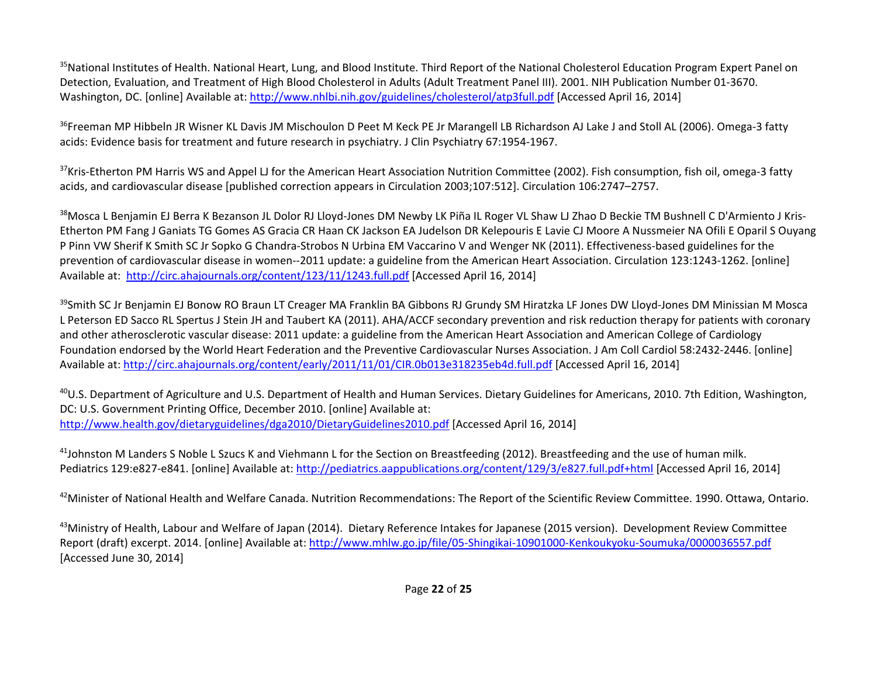<sup>35</sup>National Institutes of Health. National Heart, Lung, and Blood Institute. Third Report of the National Cholesterol Education Program Expert Panel on Detection, Evaluation, and Treatment of High Blood Cholesterol in Adults (Adult Treatment Panel III). 2001. NIH Publication Number 01‐3670. Washington, DC. [online] Available at: http://www.nhlbi.nih.gov/guidelines/cholesterol/atp3full.pdf [Accessed April 16, 2014]

<sup>36</sup>Freeman MP Hibbeln JR Wisner KL Davis JM Mischoulon D Peet M Keck PE Jr Marangell LB Richardson AJ Lake J and Stoll AL (2006). Omega-3 fatty acids: Evidence basis for treatment and future research in psychiatry. J Clin Psychiatry 67:1954‐1967.

 $37$ Kris-Etherton PM Harris WS and Appel LJ for the American Heart Association Nutrition Committee (2002). Fish consumption, fish oil, omega-3 fatty acids, and cardiovascular disease [published correction appears in Circulation 2003;107:512]. Circulation 106:2747–2757.

<sup>38</sup>Mosca L Benjamin EJ Berra K Bezanson JL Dolor RJ Lloyd-Jones DM Newby LK Piña IL Roger VL Shaw LJ Zhao D Beckie TM Bushnell C D'Armiento J Kris-Etherton PM Fang J Ganiats TG Gomes AS Gracia CR Haan CK Jackson EA Judelson DR Kelepouris E Lavie CJ Moore A Nussmeier NA Ofili E Oparil S Ouyang P Pinn VW Sherif K Smith SC Jr Sopko G Chandra‐Strobos N Urbina EM Vaccarino V and Wenger NK (2011). Effectiveness‐based guidelines for the prevention of cardiovascular disease in women‐‐2011 update: <sup>a</sup> guideline from the American Heart Association. Circulation 123:1243‐1262. [online] Available at: http://circ.ahajournals.org/content/123/11/1243.full.pdf [Accessed April 16, 2014]

<sup>39</sup>Smith SC Jr Benjamin EJ Bonow RO Braun LT Creager MA Franklin BA Gibbons RJ Grundy SM Hiratzka LF Jones DW Lloyd-Jones DM Minissian M Mosca L Peterson ED Sacco RL Spertus J Stein JH and Taubert KA (2011). AHA/ACCF secondary prevention and risk reduction therapy for patients with coronary and other atherosclerotic vascular disease: 2011 update: <sup>a</sup> guideline from the American Heart Association and American College of Cardiology Foundation endorsed by the World Heart Federation and the Preventive Cardiovascular Nurses Association. J Am Coll Cardiol 58:2432‐2446. [online] Available at: <u>http://circ.ahajournals.org/content/early/2011/11/01/CIR.0b013e318235eb4d.full.pdf</u> [Accessed April 16, 2014]

<sup>40</sup>U.S. Department of Agriculture and U.S. Department of Health and Human Services. Dietary Guidelines for Americans, 2010. 7th Edition, Washington, DC: U.S. Government Printing Office, December 2010. [online] Available at: http://www.health.gov/dietaryguidelines/dga2010/DietaryGuidelines2010.pdf [Accessed April 16, 2014]

 $^{41}$ Johnston M Landers S Noble L Szucs K and Viehmann L for the Section on Breastfeeding (2012). Breastfeeding and the use of human milk. Pediatrics 129:e827-e841. [online] Available at: http://pediatrics.aappublications.org/content/129/3/e827.full.pdf+html [Accessed April 16, 2014]

 $^{42}$ Minister of National Health and Welfare Canada. Nutrition Recommendations: The Report of the Scientific Review Committee. 1990. Ottawa, Ontario.

<sup>43</sup>Ministry of Health, Labour and Welfare of Japan (2014). Dietary Reference Intakes for Japanese (2015 version). Development Review Committee Report (draft) excerpt. 2014. [online] Available at: http://www.mhlw.go.jp/file/05‐Shingikai‐10901000‐Kenkoukyoku‐Soumuka/0000036557.pdf [Accessed June 30, 2014]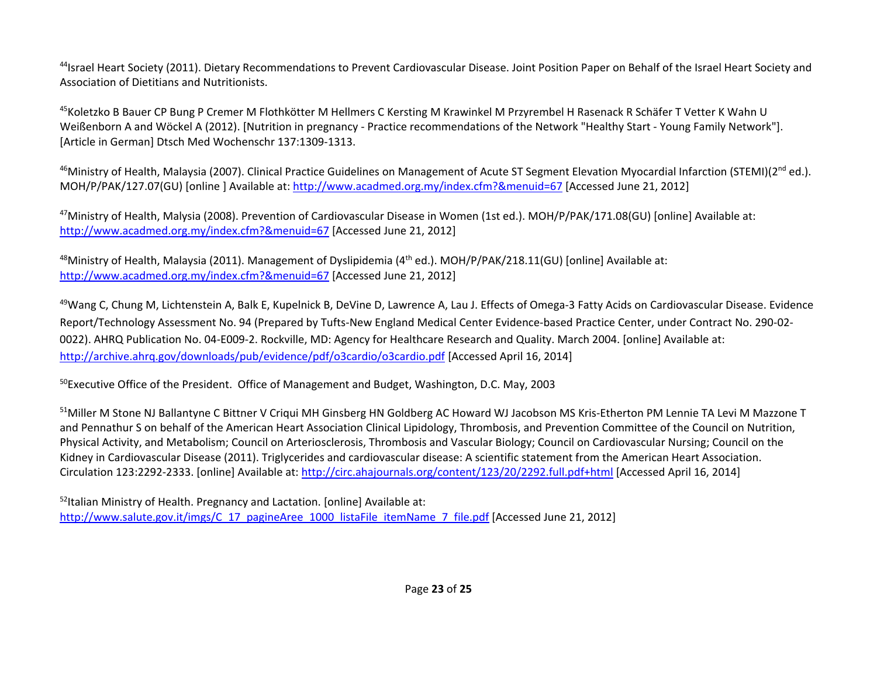<sup>44</sup>Israel Heart Society (2011). Dietary Recommendations to Prevent Cardiovascular Disease. Joint Position Paper on Behalf of the Israel Heart Society and Association of Dietitians and Nutritionists.

<sup>45</sup>Koletzko B Bauer CP Bung P Cremer M Flothkötter M Hellmers C Kersting M Krawinkel M Przyrembel H Rasenack R Schäfer T Vetter K Wahn U Weißenborn A and Wöckel A (2012). [Nutrition in pregnancy ‐ Practice recommendations of the Network "Healthy Start ‐ Young Family Network"]. [Article in German] Dtsch Med Wochenschr 137:1309‐1313.

<sup>46</sup>Ministry of Health, Malaysia (2007). Clinical Practice Guidelines on Management of Acute ST Segment Elevation Myocardial Infarction (STEMI)(2<sup>nd</sup> ed.). MOH/P/PAK/127.07(GU) [online ] Available at: http://www.acadmed.org.my/index.cfm?&menuid=67 [Accessed June 21, 2012]

<sup>47</sup>Ministry of Health, Malysia (2008). Prevention of Cardiovascular Disease in Women (1st ed.). MOH/P/PAK/171.08(GU) [online] Available at: http://www.acadmed.org.my/index.cfm?&menuid=67 [Accessed June 21, 2012]

<sup>48</sup>Ministry of Health, Malaysia (2011). Management of Dyslipidemia (4<sup>th</sup> ed.). MOH/P/PAK/218.11(GU) [online] Available at: http://www.acadmed.org.my/index.cfm?&menuid=67 [Accessed June 21, 2012]

<sup>49</sup>Wang C, Chung M, Lichtenstein A, Balk E, Kupelnick B, DeVine D, Lawrence A, Lau J. Effects of Omega-3 Fatty Acids on Cardiovascular Disease. Evidence Report/Technology Assessment No. 94 (Prepared by Tufts-New England Medical Center Evidence-based Practice Center, under Contract No. 290-02-0022). AHRQ Publication No. 04‐E009‐2. Rockville, MD: Agency for Healthcare Research and Quality. March 2004. [online] Available at: http://archive.ahrq.gov/downloads/pub/evidence/pdf/o3cardio/o3cardio.pdf [Accessed April 16, 2014]

<sup>50</sup>Executive Office of the President. Office of Management and Budget, Washington, D.C. May, 2003

51Miller M Stone NJ Ballantyne C Bittner V Criqui MH Ginsberg HN Goldberg AC Howard WJ Jacobson MS Kris-Etherton PM Lennie TA Levi M Mazzone T and Pennathur S on behalf of the American Heart Association Clinical Lipidology, Thrombosis, and Prevention Committee of the Council on Nutrition, Physical Activity, and Metabolism; Council on Arteriosclerosis, Thrombosis and Vascular Biology; Council on Cardiovascular Nursing; Council on the Kidney in Cardiovascular Disease (2011). Triglycerides and cardiovascular disease: A scientific statement from the American Heart Association. Circulation 123:2292‐2333. [online] Available at: http://circ.ahajournals.org/content/123/20/2292.full.pdf+html [Accessed April 16, 2014]

<sup>52</sup>Italian Ministry of Health. Pregnancy and Lactation. [online] Available at: http://www.salute.gov.it/imgs/C\_17\_pagineAree\_1000\_listaFile\_itemName\_7\_file.pdf [Accessed June 21, 2012]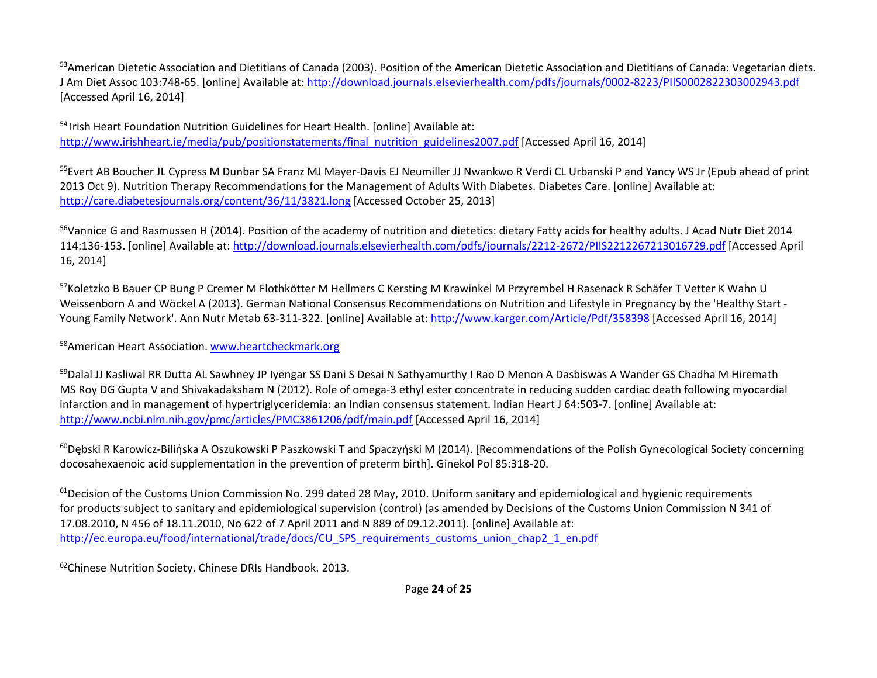<sup>53</sup>American Dietetic Association and Dietitians of Canada (2003). Position of the American Dietetic Association and Dietitians of Canada: Vegetarian diets. J Am Diet Assoc 103:748-65. [online] Available at: http://download.journals.elsevierhealth.com/pdfs/journals/0002-8223/PIIS0002822303002943.pdf [Accessed April 16, 2014]

<sup>54</sup> Irish Heart Foundation Nutrition Guidelines for Heart Health. [online] Available at: http://www.irishheart.ie/media/pub/positionstatements/final\_nutrition\_guidelines2007.pdf [Accessed April 16, 2014]

<sup>55</sup>Evert AB Boucher JL Cypress M Dunbar SA Franz MJ Mayer-Davis EJ Neumiller JJ Nwankwo R Verdi CL Urbanski P and Yancy WS Jr (Epub ahead of print 2013 Oct 9). Nutrition Therapy Recommendations for the Management of Adults With Diabetes. Diabetes Care. [online] Available at: http://care.diabetesjournals.org/content/36/11/3821.long [Accessed October 25, 2013]

<sup>56</sup>Vannice G and Rasmussen H (2014). Position of the academy of nutrition and dietetics: dietary Fatty acids for healthy adults. J Acad Nutr Diet 2014 114:136-153. [online] Available at: <u>http://download.journals.elsevierhealth.com/pdfs/journals/2212-2672/PIIS2212267213016729.pdf</u> [Accessed April 16, 2014]

<sup>57</sup>Koletzko B Bauer CP Bung P Cremer M Flothkötter M Hellmers C Kersting M Krawinkel M Przyrembel H Rasenack R Schäfer T Vetter K Wahn U Weissenborn A and Wöckel A (2013). German National Consensus Recommendations on Nutrition and Lifestyle in Pregnancy by the 'Healthy Start ‐ Young Family Network'. Ann Nutr Metab 63‐311‐322. [online] Available at: http://www.karger.com/Article/Pdf/358398 [Accessed April 16, 2014]

<sup>58</sup>American Heart Association. www.heartcheckmark.org

<sup>59</sup>Dalal JJ Kasliwal RR Dutta AL Sawhney JP Iyengar SS Dani S Desai N Sathyamurthy I Rao D Menon A Dasbiswas A Wander GS Chadha M Hiremath MS Roy DG Gupta V and Shivakadaksham N (2012). Role of omega‐3 ethyl ester concentrate in reducing sudden cardiac death following myocardial infarction and in management of hypertriglyceridemia: an Indian consensus statement. Indian Heart J 64:503‐7. [online] Available at: http://www.ncbi.nlm.nih.gov/pmc/articles/PMC3861206/pdf/main.pdf [Accessed April 16, 2014]

<sup>60</sup>Dębski R Karowicz-Bilińska A Oszukowski P Paszkowski T and Spaczyński M (2014). [Recommendations of the Polish Gynecological Society concerning docosahexaenoic acid supplementation in the prevention of preterm birth]. Ginekol Pol 85:318‐20.

 $^{61}$ Decision of the Customs Union Commission No. 299 dated 28 May, 2010. Uniform sanitary and epidemiological and hygienic requirements for products subject to sanitary and epidemiological supervision (control) (as amended by Decisions of the Customs Union Commission N 341 of 17.08.2010, N 456 of 18.11.2010, No 622 of 7 April 2011 and N 889 of 09.12.2011). [online] Available at: http://ec.europa.eu/food/international/trade/docs/CU\_SPS\_requirements\_customs\_union\_chap2\_1\_en.pdf

<sup>62</sup>Chinese Nutrition Society. Chinese DRIs Handbook. 2013.